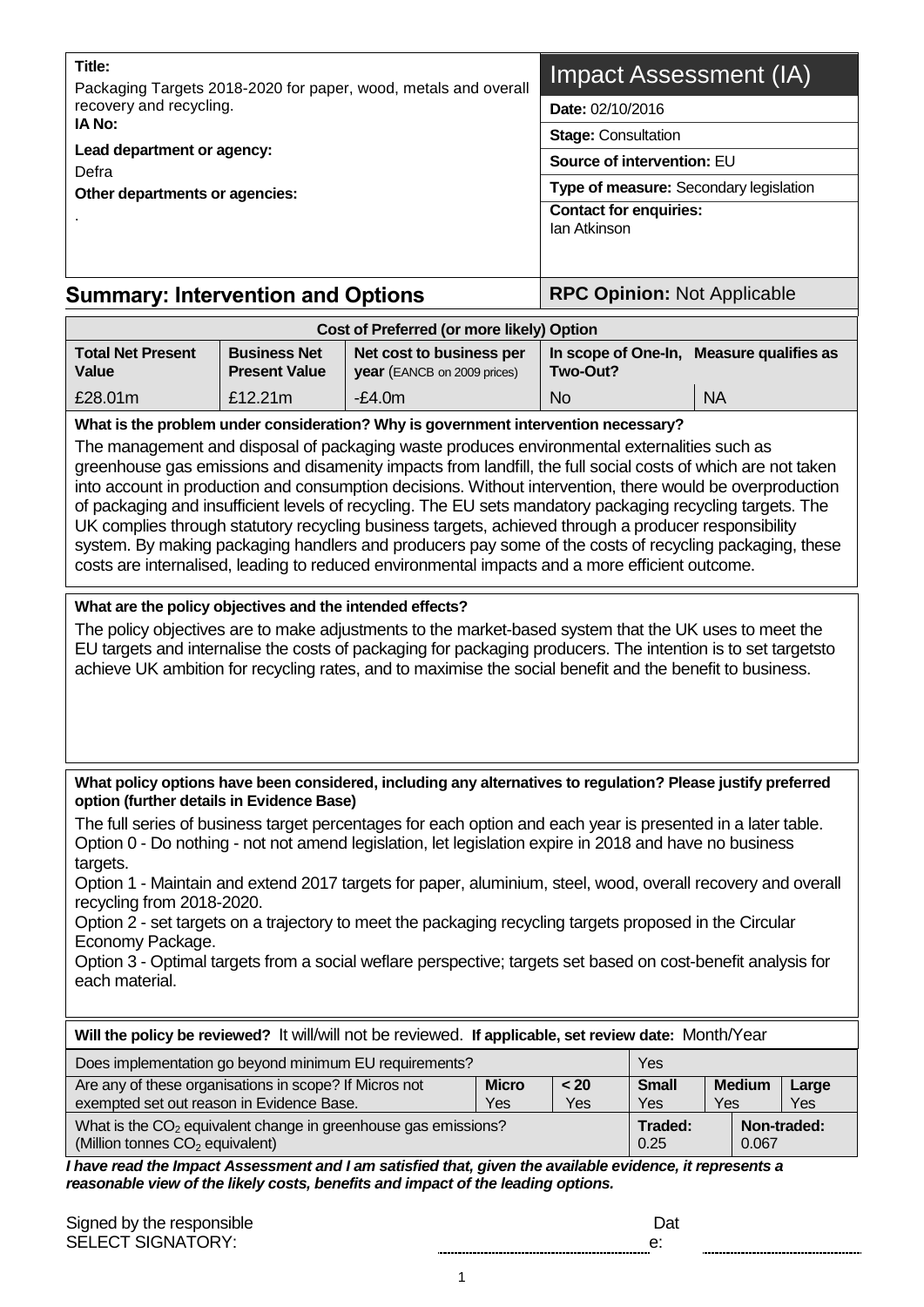| Title:                                                                                                                                                                                                                                                                                                                                                                                                                                                                                                                                                                                                                                         |                                                                                                                                                                                                                                                                                                                                                                                                                                                                                                                                                                                                                                                           | Packaging Targets 2018-2020 for paper, wood, metals and overall                                                                                                                   |                                                      | Impact Assessment (IA)                               |                     |                      |              |  |
|------------------------------------------------------------------------------------------------------------------------------------------------------------------------------------------------------------------------------------------------------------------------------------------------------------------------------------------------------------------------------------------------------------------------------------------------------------------------------------------------------------------------------------------------------------------------------------------------------------------------------------------------|-----------------------------------------------------------------------------------------------------------------------------------------------------------------------------------------------------------------------------------------------------------------------------------------------------------------------------------------------------------------------------------------------------------------------------------------------------------------------------------------------------------------------------------------------------------------------------------------------------------------------------------------------------------|-----------------------------------------------------------------------------------------------------------------------------------------------------------------------------------|------------------------------------------------------|------------------------------------------------------|---------------------|----------------------|--------------|--|
| recovery and recycling.<br><b>IA No:</b>                                                                                                                                                                                                                                                                                                                                                                                                                                                                                                                                                                                                       |                                                                                                                                                                                                                                                                                                                                                                                                                                                                                                                                                                                                                                                           |                                                                                                                                                                                   |                                                      | Date: 02/10/2016                                     |                     |                      |              |  |
|                                                                                                                                                                                                                                                                                                                                                                                                                                                                                                                                                                                                                                                | Lead department or agency:                                                                                                                                                                                                                                                                                                                                                                                                                                                                                                                                                                                                                                |                                                                                                                                                                                   |                                                      |                                                      |                     |                      |              |  |
| Defra                                                                                                                                                                                                                                                                                                                                                                                                                                                                                                                                                                                                                                          |                                                                                                                                                                                                                                                                                                                                                                                                                                                                                                                                                                                                                                                           |                                                                                                                                                                                   |                                                      | Source of intervention: EU                           |                     |                      |              |  |
| Other departments or agencies:                                                                                                                                                                                                                                                                                                                                                                                                                                                                                                                                                                                                                 |                                                                                                                                                                                                                                                                                                                                                                                                                                                                                                                                                                                                                                                           |                                                                                                                                                                                   |                                                      | Type of measure: Secondary legislation               |                     |                      |              |  |
|                                                                                                                                                                                                                                                                                                                                                                                                                                                                                                                                                                                                                                                |                                                                                                                                                                                                                                                                                                                                                                                                                                                                                                                                                                                                                                                           |                                                                                                                                                                                   |                                                      | <b>Contact for enquiries:</b><br><b>Ian Atkinson</b> |                     |                      |              |  |
| <b>Summary: Intervention and Options</b>                                                                                                                                                                                                                                                                                                                                                                                                                                                                                                                                                                                                       | <b>RPC Opinion: Not Applicable</b>                                                                                                                                                                                                                                                                                                                                                                                                                                                                                                                                                                                                                        |                                                                                                                                                                                   |                                                      |                                                      |                     |                      |              |  |
|                                                                                                                                                                                                                                                                                                                                                                                                                                                                                                                                                                                                                                                |                                                                                                                                                                                                                                                                                                                                                                                                                                                                                                                                                                                                                                                           | Cost of Preferred (or more likely) Option                                                                                                                                         |                                                      |                                                      |                     |                      |              |  |
| <b>Total Net Present</b><br><b>Business Net</b><br>Net cost to business per<br>Value<br><b>Present Value</b><br>year (EANCB on 2009 prices)                                                                                                                                                                                                                                                                                                                                                                                                                                                                                                    |                                                                                                                                                                                                                                                                                                                                                                                                                                                                                                                                                                                                                                                           |                                                                                                                                                                                   | In scope of One-In, Measure qualifies as<br>Two-Out? |                                                      |                     |                      |              |  |
| £28.01m                                                                                                                                                                                                                                                                                                                                                                                                                                                                                                                                                                                                                                        | £12.21m                                                                                                                                                                                                                                                                                                                                                                                                                                                                                                                                                                                                                                                   | $-E4.0m$                                                                                                                                                                          |                                                      | <b>No</b>                                            |                     | <b>NA</b>            |              |  |
|                                                                                                                                                                                                                                                                                                                                                                                                                                                                                                                                                                                                                                                |                                                                                                                                                                                                                                                                                                                                                                                                                                                                                                                                                                                                                                                           | What is the problem under consideration? Why is government intervention necessary?<br>The management and disposal of packaging waste produces environmental externalities such as |                                                      |                                                      |                     |                      |              |  |
|                                                                                                                                                                                                                                                                                                                                                                                                                                                                                                                                                                                                                                                | greenhouse gas emissions and disamenity impacts from landfill, the full social costs of which are not taken<br>into account in production and consumption decisions. Without intervention, there would be overproduction<br>of packaging and insufficient levels of recycling. The EU sets mandatory packaging recycling targets. The<br>UK complies through statutory recycling business targets, achieved through a producer responsibility<br>system. By making packaging handlers and producers pay some of the costs of recycling packaging, these<br>costs are internalised, leading to reduced environmental impacts and a more efficient outcome. |                                                                                                                                                                                   |                                                      |                                                      |                     |                      |              |  |
| What are the policy objectives and the intended effects?<br>The policy objectives are to make adjustments to the market-based system that the UK uses to meet the<br>EU targets and internalise the costs of packaging for packaging producers. The intention is to set targetsto<br>achieve UK ambition for recycling rates, and to maximise the social benefit and the benefit to business.                                                                                                                                                                                                                                                  |                                                                                                                                                                                                                                                                                                                                                                                                                                                                                                                                                                                                                                                           |                                                                                                                                                                                   |                                                      |                                                      |                     |                      |              |  |
| What policy options have been considered, including any alternatives to regulation? Please justify preferred<br>option (further details in Evidence Base)                                                                                                                                                                                                                                                                                                                                                                                                                                                                                      |                                                                                                                                                                                                                                                                                                                                                                                                                                                                                                                                                                                                                                                           |                                                                                                                                                                                   |                                                      |                                                      |                     |                      |              |  |
| The full series of business target percentages for each option and each year is presented in a later table.<br>Option 0 - Do nothing - not not amend legislation, let legislation expire in 2018 and have no business<br>targets.<br>Option 1 - Maintain and extend 2017 targets for paper, aluminium, steel, wood, overall recovery and overall<br>recycling from 2018-2020.<br>Option 2 - set targets on a trajectory to meet the packaging recycling targets proposed in the Circular<br>Economy Package.<br>Option 3 - Optimal targets from a social weflare perspective; targets set based on cost-benefit analysis for<br>each material. |                                                                                                                                                                                                                                                                                                                                                                                                                                                                                                                                                                                                                                                           |                                                                                                                                                                                   |                                                      |                                                      |                     |                      |              |  |
|                                                                                                                                                                                                                                                                                                                                                                                                                                                                                                                                                                                                                                                |                                                                                                                                                                                                                                                                                                                                                                                                                                                                                                                                                                                                                                                           | Will the policy be reviewed? It will/will not be reviewed. If applicable, set review date: Month/Year                                                                             |                                                      |                                                      |                     |                      |              |  |
| Does implementation go beyond minimum EU requirements?                                                                                                                                                                                                                                                                                                                                                                                                                                                                                                                                                                                         |                                                                                                                                                                                                                                                                                                                                                                                                                                                                                                                                                                                                                                                           |                                                                                                                                                                                   |                                                      |                                                      | Yes                 |                      |              |  |
| Are any of these organisations in scope? If Micros not<br>exempted set out reason in Evidence Base.                                                                                                                                                                                                                                                                                                                                                                                                                                                                                                                                            |                                                                                                                                                                                                                                                                                                                                                                                                                                                                                                                                                                                                                                                           |                                                                                                                                                                                   | <b>Micro</b><br>Yes                                  | < 20<br>Yes                                          | <b>Small</b><br>Yes | <b>Medium</b><br>Yes | Large<br>Yes |  |
| (Million tonnes CO <sub>2</sub> equivalent)                                                                                                                                                                                                                                                                                                                                                                                                                                                                                                                                                                                                    |                                                                                                                                                                                                                                                                                                                                                                                                                                                                                                                                                                                                                                                           | What is the $CO2$ equivalent change in greenhouse gas emissions?                                                                                                                  |                                                      |                                                      | Traded:<br>0.25     | 0.067                | Non-traded:  |  |
| I have read the Impact Assessment and I am satisfied that, given the available evidence, it represents a<br>reasonable view of the likely costs, benefits and impact of the leading options.                                                                                                                                                                                                                                                                                                                                                                                                                                                   |                                                                                                                                                                                                                                                                                                                                                                                                                                                                                                                                                                                                                                                           |                                                                                                                                                                                   |                                                      |                                                      |                     |                      |              |  |

| Signed by the responsible |  |
|---------------------------|--|
| <b>SELECT SIGNATORY:</b>  |  |

| н<br>ı |  |
|--------|--|
|        |  |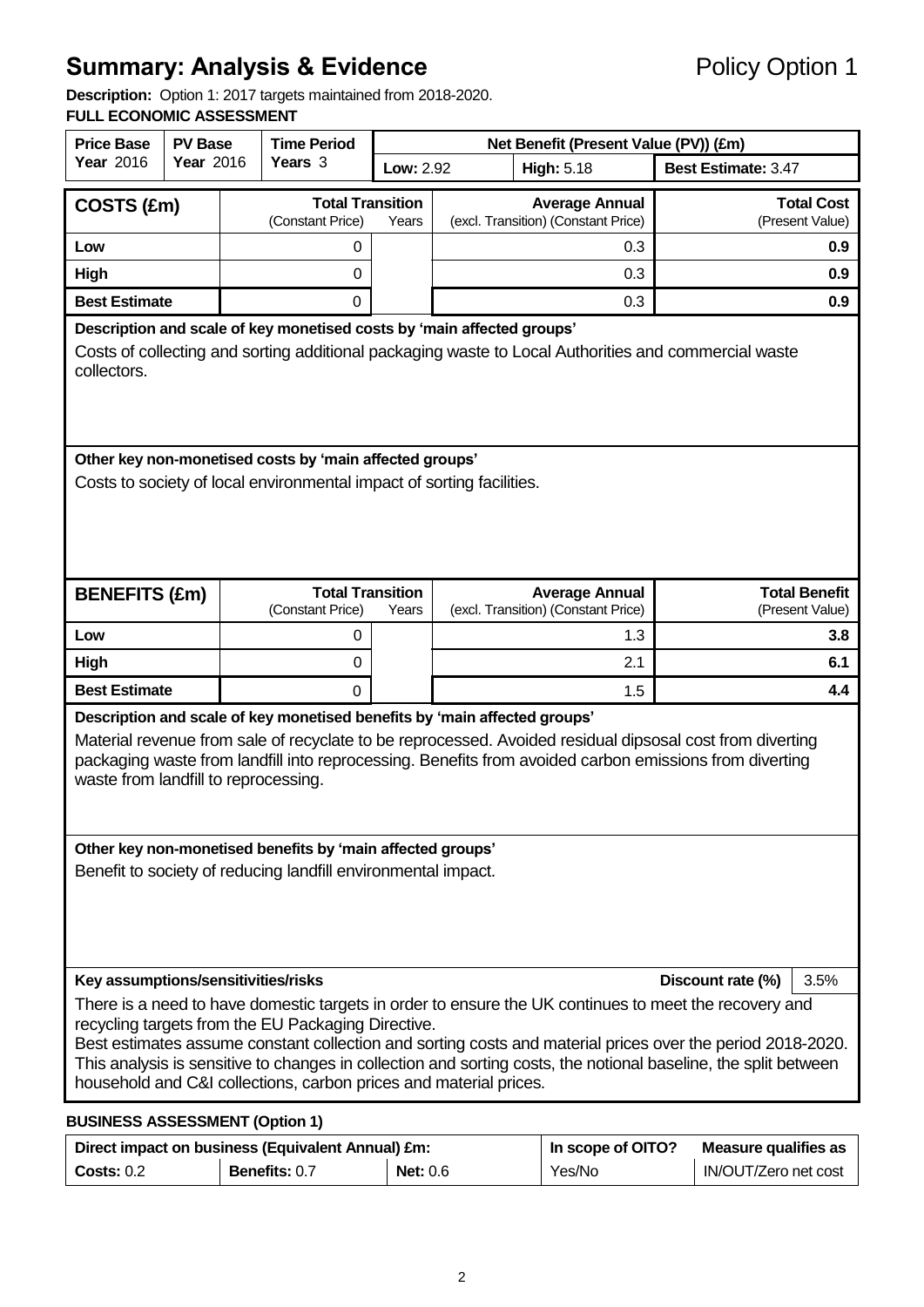# **Summary: Analysis & Evidence** Policy Option 1

**Description:** Option 1: 2017 targets maintained from 2018-2020.

#### **FULL ECONOMIC ASSESSMENT**

| <b>Price Base</b><br><b>PV Base</b>                                                                                                                                                                                                                                                                                                                                                                                                                                                                        |                                                                       | <b>Time Period</b> |                                                                        | Net Benefit (Present Value (PV)) (£m) |                            |                                                              |                                         |  |
|------------------------------------------------------------------------------------------------------------------------------------------------------------------------------------------------------------------------------------------------------------------------------------------------------------------------------------------------------------------------------------------------------------------------------------------------------------------------------------------------------------|-----------------------------------------------------------------------|--------------------|------------------------------------------------------------------------|---------------------------------------|----------------------------|--------------------------------------------------------------|-----------------------------------------|--|
| <b>Year 2016</b>                                                                                                                                                                                                                                                                                                                                                                                                                                                                                           | Year 2016                                                             |                    | Years 3<br><b>Low: 2.92</b><br><b>High: 5.18</b>                       |                                       | <b>Best Estimate: 3.47</b> |                                                              |                                         |  |
| COSTS (£m)                                                                                                                                                                                                                                                                                                                                                                                                                                                                                                 |                                                                       |                    | <b>Total Transition</b><br>(Constant Price)                            | Years                                 |                            | <b>Average Annual</b><br>(excl. Transition) (Constant Price) | <b>Total Cost</b><br>(Present Value)    |  |
| Low                                                                                                                                                                                                                                                                                                                                                                                                                                                                                                        |                                                                       |                    | 0                                                                      |                                       |                            | 0.3                                                          | 0.9                                     |  |
| High                                                                                                                                                                                                                                                                                                                                                                                                                                                                                                       |                                                                       |                    | $\Omega$                                                               |                                       |                            | 0.3                                                          | 0.9 <sup>°</sup>                        |  |
| <b>Best Estimate</b>                                                                                                                                                                                                                                                                                                                                                                                                                                                                                       |                                                                       |                    | $\Omega$                                                               |                                       |                            | 0.3                                                          | 0.9                                     |  |
|                                                                                                                                                                                                                                                                                                                                                                                                                                                                                                            |                                                                       |                    | Description and scale of key monetised costs by 'main affected groups' |                                       |                            |                                                              |                                         |  |
| Costs of collecting and sorting additional packaging waste to Local Authorities and commercial waste<br>collectors.                                                                                                                                                                                                                                                                                                                                                                                        |                                                                       |                    |                                                                        |                                       |                            |                                                              |                                         |  |
|                                                                                                                                                                                                                                                                                                                                                                                                                                                                                                            |                                                                       |                    | Other key non-monetised costs by 'main affected groups'                |                                       |                            |                                                              |                                         |  |
|                                                                                                                                                                                                                                                                                                                                                                                                                                                                                                            | Costs to society of local environmental impact of sorting facilities. |                    |                                                                        |                                       |                            |                                                              |                                         |  |
| <b>BENEFITS (£m)</b>                                                                                                                                                                                                                                                                                                                                                                                                                                                                                       |                                                                       |                    | <b>Total Transition</b><br>(Constant Price)                            | Years                                 |                            | <b>Average Annual</b><br>(excl. Transition) (Constant Price) | <b>Total Benefit</b><br>(Present Value) |  |
| Low                                                                                                                                                                                                                                                                                                                                                                                                                                                                                                        |                                                                       |                    | 0                                                                      |                                       |                            | 1.3                                                          | 3.8                                     |  |
| High                                                                                                                                                                                                                                                                                                                                                                                                                                                                                                       |                                                                       |                    | $\mathbf 0$                                                            |                                       |                            | 2.1                                                          | 6.1                                     |  |
| <b>Best Estimate</b>                                                                                                                                                                                                                                                                                                                                                                                                                                                                                       |                                                                       |                    | 0                                                                      |                                       |                            | 1.5                                                          | 4.4                                     |  |
| Description and scale of key monetised benefits by 'main affected groups'<br>Material revenue from sale of recyclate to be reprocessed. Avoided residual dipsosal cost from diverting<br>packaging waste from landfill into reprocessing. Benefits from avoided carbon emissions from diverting<br>waste from landfill to reprocessing.                                                                                                                                                                    |                                                                       |                    |                                                                        |                                       |                            |                                                              |                                         |  |
| Other key non-monetised benefits by 'main affected groups'<br>Benefit to society of reducing landfill environmental impact.                                                                                                                                                                                                                                                                                                                                                                                |                                                                       |                    |                                                                        |                                       |                            |                                                              |                                         |  |
| Key assumptions/sensitivities/risks<br>Discount rate (%)<br>3.5%                                                                                                                                                                                                                                                                                                                                                                                                                                           |                                                                       |                    |                                                                        |                                       |                            |                                                              |                                         |  |
| There is a need to have domestic targets in order to ensure the UK continues to meet the recovery and<br>recycling targets from the EU Packaging Directive.<br>Best estimates assume constant collection and sorting costs and material prices over the period 2018-2020.<br>This analysis is sensitive to changes in collection and sorting costs, the notional baseline, the split between<br>household and C&I collections, carbon prices and material prices.<br><b>BUSINESS ASSESSMENT (Option 1)</b> |                                                                       |                    |                                                                        |                                       |                            |                                                              |                                         |  |

|            | Direct impact on business (Equivalent Annual) £m: | In scope of OITO? | Measure qualifies as |                      |
|------------|---------------------------------------------------|-------------------|----------------------|----------------------|
| Costs: 0.2 | <b>Benefits: 0.7</b>                              | Net: $0.6$        | Yes/No               | IN/OUT/Zero net cost |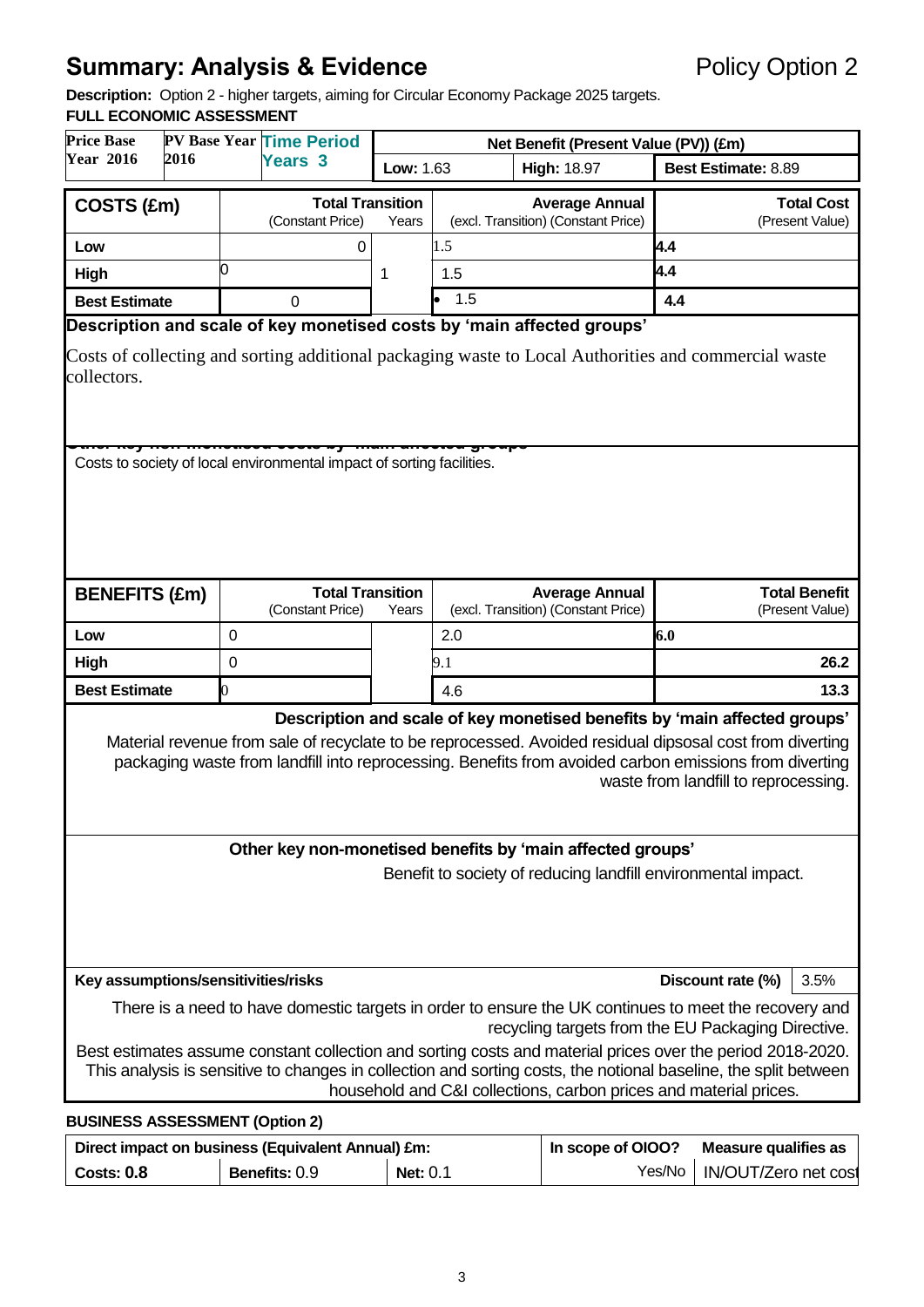# **Summary: Analysis & Evidence Policy Option 2**

**Description:** Option 2 - higher targets, aiming for Circular Economy Package 2025 targets.

#### **FULL ECONOMIC ASSESSMENT**

| <b>PV Base Year Time Period</b>                                                                                                                                                                                                                                                                                                         |                                                                                                       |                  |                                             |           |                                       |                                                                        |                            |                                         |
|-----------------------------------------------------------------------------------------------------------------------------------------------------------------------------------------------------------------------------------------------------------------------------------------------------------------------------------------|-------------------------------------------------------------------------------------------------------|------------------|---------------------------------------------|-----------|---------------------------------------|------------------------------------------------------------------------|----------------------------|-----------------------------------------|
| <b>Price Base</b><br><b>Year 2016</b><br>2016                                                                                                                                                                                                                                                                                           |                                                                                                       |                  |                                             |           | Net Benefit (Present Value (PV)) (£m) |                                                                        |                            |                                         |
|                                                                                                                                                                                                                                                                                                                                         |                                                                                                       |                  | <b>Years 3</b>                              | Low: 1.63 | <b>High: 18.97</b>                    |                                                                        | <b>Best Estimate: 8.89</b> |                                         |
| COSTS (£m)                                                                                                                                                                                                                                                                                                                              |                                                                                                       |                  | <b>Total Transition</b>                     |           |                                       | <b>Average Annual</b>                                                  |                            | <b>Total Cost</b>                       |
|                                                                                                                                                                                                                                                                                                                                         |                                                                                                       |                  | (Constant Price)                            | Years     |                                       | (excl. Transition) (Constant Price)                                    |                            | (Present Value)                         |
| Low                                                                                                                                                                                                                                                                                                                                     |                                                                                                       |                  | 0                                           |           | 1.5                                   |                                                                        | 4.4                        |                                         |
| High                                                                                                                                                                                                                                                                                                                                    |                                                                                                       | 0                |                                             | 1         | 1.5                                   |                                                                        | 4.4                        |                                         |
| <b>Best Estimate</b>                                                                                                                                                                                                                                                                                                                    |                                                                                                       |                  | $\Omega$                                    |           | 1.5                                   |                                                                        | 4.4                        |                                         |
|                                                                                                                                                                                                                                                                                                                                         |                                                                                                       |                  |                                             |           |                                       | Description and scale of key monetised costs by 'main affected groups' |                            |                                         |
| Costs of collecting and sorting additional packaging waste to Local Authorities and commercial waste<br>collectors.                                                                                                                                                                                                                     |                                                                                                       |                  |                                             |           |                                       |                                                                        |                            |                                         |
|                                                                                                                                                                                                                                                                                                                                         | Costs to society of local environmental impact of sorting facilities.                                 |                  |                                             |           |                                       |                                                                        |                            |                                         |
| <b>BENEFITS (£m)</b>                                                                                                                                                                                                                                                                                                                    |                                                                                                       |                  | <b>Total Transition</b><br>(Constant Price) | Years     |                                       | <b>Average Annual</b><br>(excl. Transition) (Constant Price)           |                            | <b>Total Benefit</b><br>(Present Value) |
| Low                                                                                                                                                                                                                                                                                                                                     |                                                                                                       | $\boldsymbol{0}$ |                                             |           | 2.0                                   |                                                                        | 6.0                        |                                         |
| High                                                                                                                                                                                                                                                                                                                                    |                                                                                                       | 0                |                                             |           | 9.1                                   |                                                                        |                            | 26.2                                    |
| <b>Best Estimate</b>                                                                                                                                                                                                                                                                                                                    |                                                                                                       | 0                |                                             |           | 4.6                                   |                                                                        |                            | 13.3                                    |
|                                                                                                                                                                                                                                                                                                                                         |                                                                                                       |                  |                                             |           |                                       |                                                                        |                            |                                         |
| Description and scale of key monetised benefits by 'main affected groups'<br>Material revenue from sale of recyclate to be reprocessed. Avoided residual dipsosal cost from diverting<br>packaging waste from landfill into reprocessing. Benefits from avoided carbon emissions from diverting<br>waste from landfill to reprocessing. |                                                                                                       |                  |                                             |           |                                       |                                                                        |                            |                                         |
|                                                                                                                                                                                                                                                                                                                                         |                                                                                                       |                  |                                             |           |                                       | Other key non-monetised benefits by 'main affected groups'             |                            |                                         |
| Benefit to society of reducing landfill environmental impact.                                                                                                                                                                                                                                                                           |                                                                                                       |                  |                                             |           |                                       |                                                                        |                            |                                         |
|                                                                                                                                                                                                                                                                                                                                         | Key assumptions/sensitivities/risks<br>Discount rate (%)<br>3.5%                                      |                  |                                             |           |                                       |                                                                        |                            |                                         |
| There is a need to have domestic targets in order to ensure the UK continues to meet the recovery and<br>recycling targets from the EU Packaging Directive.                                                                                                                                                                             |                                                                                                       |                  |                                             |           |                                       |                                                                        |                            |                                         |
| Best estimates assume constant collection and sorting costs and material prices over the period 2018-2020.<br>This analysis is sensitive to changes in collection and sorting costs, the notional baseline, the split between<br>household and C&I collections, carbon prices and material prices.                                      |                                                                                                       |                  |                                             |           |                                       |                                                                        |                            |                                         |
| <b>BUSINESS ASSESSMENT (Option 2)</b>                                                                                                                                                                                                                                                                                                   |                                                                                                       |                  |                                             |           |                                       |                                                                        |                            |                                         |
|                                                                                                                                                                                                                                                                                                                                         | In scope of OIOO?<br>Direct impact on business (Equivalent Annual) £m:<br><b>Measure qualifies as</b> |                  |                                             |           |                                       |                                                                        |                            |                                         |

**Costs: 0.8 Benefits:** 0.9 **Net:** 0.1 Yes/No | IN/OUT/Zero net cost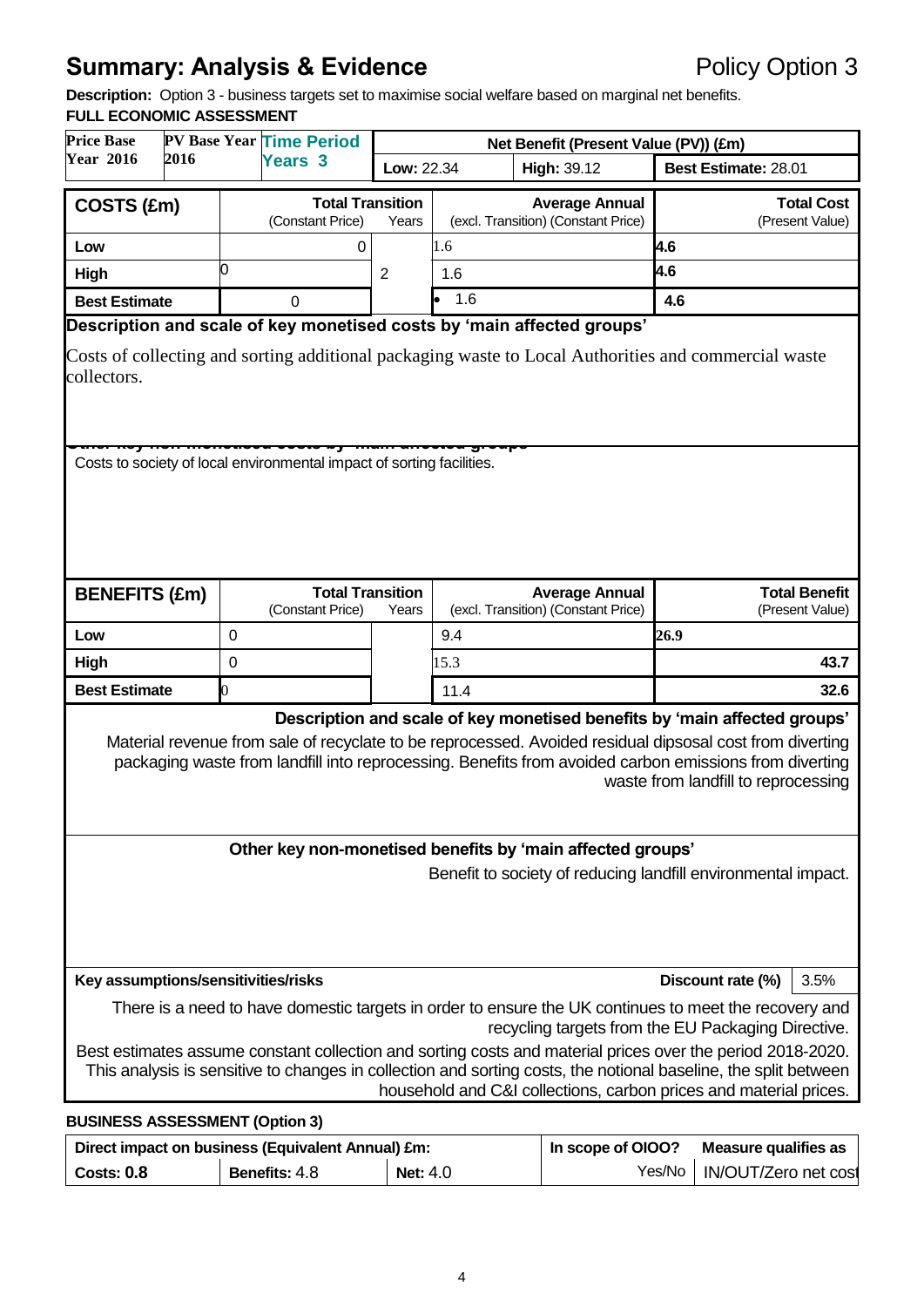# **Summary: Analysis & Evidence Policy Option 3**

**Description:** Option 3 - business targets set to maximise social welfare based on marginal net benefits.

## **FULL ECONOMIC ASSESSMENT**

| <b>Price Base</b>                                                                                                                                                                                                                                                                                                                      |                                                                       |                  | <b>PV Base Year Time Period</b>             | Net Benefit (Present Value (PV)) (£m) |                   |                                                              |      |                                         |
|----------------------------------------------------------------------------------------------------------------------------------------------------------------------------------------------------------------------------------------------------------------------------------------------------------------------------------------|-----------------------------------------------------------------------|------------------|---------------------------------------------|---------------------------------------|-------------------|--------------------------------------------------------------|------|-----------------------------------------|
| <b>Year 2016</b>                                                                                                                                                                                                                                                                                                                       | 2016                                                                  |                  | <b>Years 3</b>                              | Low: 22.34                            |                   | High: 39.12                                                  |      | Best Estimate: 28.01                    |
| COSTS (£m)                                                                                                                                                                                                                                                                                                                             |                                                                       |                  | <b>Total Transition</b>                     |                                       |                   | <b>Average Annual</b>                                        |      | <b>Total Cost</b>                       |
|                                                                                                                                                                                                                                                                                                                                        |                                                                       |                  | (Constant Price)                            | Years                                 |                   | (excl. Transition) (Constant Price)                          |      | (Present Value)                         |
| Low                                                                                                                                                                                                                                                                                                                                    |                                                                       | ი                | 0                                           |                                       | 1.6               |                                                              | 4.6  |                                         |
| High                                                                                                                                                                                                                                                                                                                                   |                                                                       |                  |                                             | 2                                     | 1.6               |                                                              | 4.6  |                                         |
| <b>Best Estimate</b>                                                                                                                                                                                                                                                                                                                   |                                                                       |                  | 0                                           |                                       | 1.6               |                                                              | 4.6  |                                         |
| Description and scale of key monetised costs by 'main affected groups'<br>Costs of collecting and sorting additional packaging waste to Local Authorities and commercial waste<br>collectors.                                                                                                                                          |                                                                       |                  |                                             |                                       |                   |                                                              |      |                                         |
|                                                                                                                                                                                                                                                                                                                                        | Costs to society of local environmental impact of sorting facilities. |                  |                                             |                                       |                   |                                                              |      |                                         |
| <b>BENEFITS (£m)</b>                                                                                                                                                                                                                                                                                                                   |                                                                       |                  | <b>Total Transition</b><br>(Constant Price) | Years                                 |                   | <b>Average Annual</b><br>(excl. Transition) (Constant Price) |      | <b>Total Benefit</b><br>(Present Value) |
| Low                                                                                                                                                                                                                                                                                                                                    |                                                                       | 0                |                                             |                                       | 9.4               |                                                              | 26.9 |                                         |
| High                                                                                                                                                                                                                                                                                                                                   |                                                                       | $\boldsymbol{0}$ |                                             |                                       | 15.3              |                                                              |      | 43.7                                    |
| <b>Best Estimate</b>                                                                                                                                                                                                                                                                                                                   |                                                                       | 0                |                                             |                                       | 11.4              |                                                              |      | 32.6                                    |
|                                                                                                                                                                                                                                                                                                                                        |                                                                       |                  |                                             |                                       |                   |                                                              |      |                                         |
| Description and scale of key monetised benefits by 'main affected groups'<br>Material revenue from sale of recyclate to be reprocessed. Avoided residual dipsosal cost from diverting<br>packaging waste from landfill into reprocessing. Benefits from avoided carbon emissions from diverting<br>waste from landfill to reprocessing |                                                                       |                  |                                             |                                       |                   |                                                              |      |                                         |
|                                                                                                                                                                                                                                                                                                                                        |                                                                       |                  |                                             |                                       |                   | Other key non-monetised benefits by 'main affected groups'   |      |                                         |
| Benefit to society of reducing landfill environmental impact.                                                                                                                                                                                                                                                                          |                                                                       |                  |                                             |                                       |                   |                                                              |      |                                         |
|                                                                                                                                                                                                                                                                                                                                        | Key assumptions/sensitivities/risks<br>Discount rate (%)<br>3.5%      |                  |                                             |                                       |                   |                                                              |      |                                         |
| There is a need to have domestic targets in order to ensure the UK continues to meet the recovery and<br>recycling targets from the EU Packaging Directive.<br>Best estimates assume constant collection and sorting costs and material prices over the period 2018-2020.                                                              |                                                                       |                  |                                             |                                       |                   |                                                              |      |                                         |
| This analysis is sensitive to changes in collection and sorting costs, the notional baseline, the split between<br>household and C&I collections, carbon prices and material prices.                                                                                                                                                   |                                                                       |                  |                                             |                                       |                   |                                                              |      |                                         |
|                                                                                                                                                                                                                                                                                                                                        | <b>BUSINESS ASSESSMENT (Option 3)</b>                                 |                  |                                             |                                       |                   |                                                              |      |                                         |
|                                                                                                                                                                                                                                                                                                                                        | Direct impact on business (Equivalent Annual) £m:                     |                  |                                             |                                       | In scope of OIOO? | <b>Measure qualifies as</b>                                  |      |                                         |

**Costs: 0.8 Benefits:** 4.8 **Net:** 4.0 Yes/No | IN/OUT/Zero net cost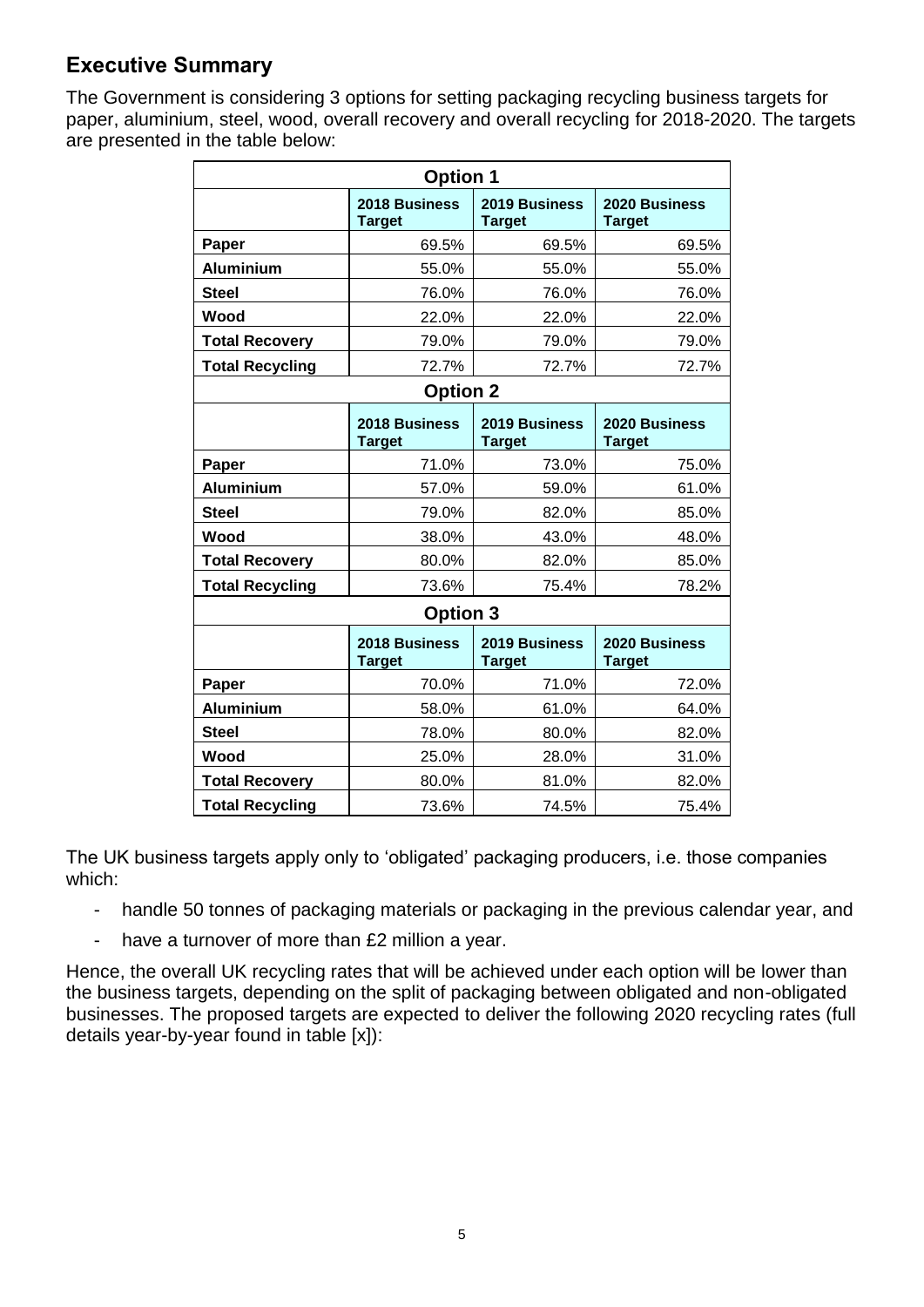# **Executive Summary**

The Government is considering 3 options for setting packaging recycling business targets for paper, aluminium, steel, wood, overall recovery and overall recycling for 2018-2020. The targets are presented in the table below:

| <b>Option 1</b>        |                                |                                |                                |  |  |  |
|------------------------|--------------------------------|--------------------------------|--------------------------------|--|--|--|
|                        | 2018 Business<br><b>Target</b> | 2019 Business<br><b>Target</b> | 2020 Business<br><b>Target</b> |  |  |  |
| Paper                  | 69.5%                          | 69.5%                          | 69.5%                          |  |  |  |
| <b>Aluminium</b>       | 55.0%                          | 55.0%                          | 55.0%                          |  |  |  |
| <b>Steel</b>           | 76.0%                          | 76.0%                          | 76.0%                          |  |  |  |
| Wood                   | 22.0%                          | 22.0%                          | 22.0%                          |  |  |  |
| <b>Total Recovery</b>  | 79.0%                          | 79.0%                          | 79.0%                          |  |  |  |
| <b>Total Recycling</b> | 72.7%                          | 72.7%                          | 72.7%                          |  |  |  |
|                        | <b>Option 2</b>                |                                |                                |  |  |  |
|                        | 2018 Business<br><b>Target</b> | 2019 Business<br><b>Target</b> | 2020 Business<br><b>Target</b> |  |  |  |
| Paper                  | 71.0%                          | 73.0%                          | 75.0%                          |  |  |  |
| <b>Aluminium</b>       | 57.0%                          | 59.0%                          | 61.0%                          |  |  |  |
| <b>Steel</b>           | 79.0%                          | 82.0%                          | 85.0%                          |  |  |  |
| Wood                   | 38.0%                          | 43.0%                          | 48.0%                          |  |  |  |
| <b>Total Recovery</b>  | 80.0%                          | 82.0%                          | 85.0%                          |  |  |  |
| <b>Total Recycling</b> | 73.6%                          | 75.4%                          | 78.2%                          |  |  |  |
|                        | <b>Option 3</b>                |                                |                                |  |  |  |
|                        | 2018 Business<br><b>Target</b> | 2019 Business<br><b>Target</b> | 2020 Business<br><b>Target</b> |  |  |  |
| Paper                  | 70.0%                          | 71.0%                          | 72.0%                          |  |  |  |
| <b>Aluminium</b>       | 58.0%                          | 61.0%                          | 64.0%                          |  |  |  |
| <b>Steel</b>           | 78.0%                          | 80.0%                          | 82.0%                          |  |  |  |
| Wood                   | 25.0%                          | 28.0%                          | 31.0%                          |  |  |  |
| <b>Total Recovery</b>  | 80.0%                          | 81.0%                          | 82.0%                          |  |  |  |
| <b>Total Recycling</b> | 73.6%                          | 74.5%                          | 75.4%                          |  |  |  |

The UK business targets apply only to 'obligated' packaging producers, i.e. those companies which:

- handle 50 tonnes of packaging materials or packaging in the previous calendar year, and
- have a turnover of more than £2 million a year.

Hence, the overall UK recycling rates that will be achieved under each option will be lower than the business targets, depending on the split of packaging between obligated and non-obligated businesses. The proposed targets are expected to deliver the following 2020 recycling rates (full details year-by-year found in table [x]):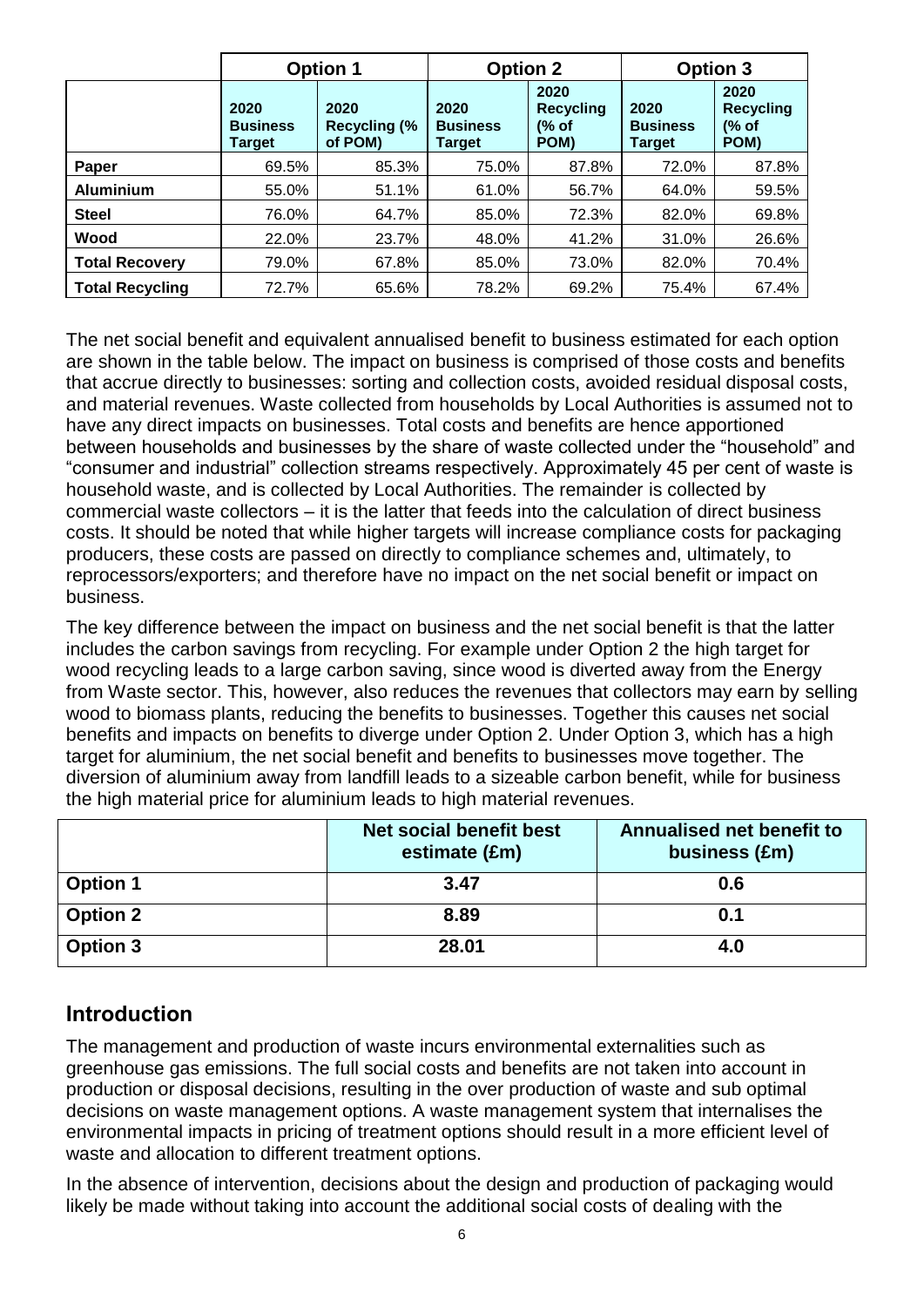|                        |                                   | <b>Option 1</b>                        | <b>Option 2</b>                   |                                           | <b>Option 3</b>                   |                                           |
|------------------------|-----------------------------------|----------------------------------------|-----------------------------------|-------------------------------------------|-----------------------------------|-------------------------------------------|
|                        | 2020<br><b>Business</b><br>Target | 2020<br><b>Recycling (%</b><br>of POM) | 2020<br><b>Business</b><br>Tarqet | 2020<br><b>Recycling</b><br>(% of<br>POM) | 2020<br><b>Business</b><br>Target | 2020<br><b>Recycling</b><br>(% of<br>POM) |
| Paper                  | 69.5%                             | 85.3%                                  | 75.0%                             | 87.8%                                     | 72.0%                             | 87.8%                                     |
| <b>Aluminium</b>       | 55.0%                             | 51.1%                                  | 61.0%                             | 56.7%                                     | 64.0%                             | 59.5%                                     |
| <b>Steel</b>           | 76.0%                             | 64.7%                                  | 85.0%                             | 72.3%                                     | 82.0%                             | 69.8%                                     |
| Wood                   | 22.0%                             | 23.7%                                  | 48.0%                             | 41.2%                                     | 31.0%                             | 26.6%                                     |
| <b>Total Recovery</b>  | 79.0%                             | 67.8%                                  | 85.0%                             | 73.0%                                     | 82.0%                             | 70.4%                                     |
| <b>Total Recycling</b> | 72.7%                             | 65.6%                                  | 78.2%                             | 69.2%                                     | 75.4%                             | 67.4%                                     |

The net social benefit and equivalent annualised benefit to business estimated for each option are shown in the table below. The impact on business is comprised of those costs and benefits that accrue directly to businesses: sorting and collection costs, avoided residual disposal costs, and material revenues. Waste collected from households by Local Authorities is assumed not to have any direct impacts on businesses. Total costs and benefits are hence apportioned between households and businesses by the share of waste collected under the "household" and "consumer and industrial" collection streams respectively. Approximately 45 per cent of waste is household waste, and is collected by Local Authorities. The remainder is collected by commercial waste collectors – it is the latter that feeds into the calculation of direct business costs. It should be noted that while higher targets will increase compliance costs for packaging producers, these costs are passed on directly to compliance schemes and, ultimately, to reprocessors/exporters; and therefore have no impact on the net social benefit or impact on business.

The key difference between the impact on business and the net social benefit is that the latter includes the carbon savings from recycling. For example under Option 2 the high target for wood recycling leads to a large carbon saving, since wood is diverted away from the Energy from Waste sector. This, however, also reduces the revenues that collectors may earn by selling wood to biomass plants, reducing the benefits to businesses. Together this causes net social benefits and impacts on benefits to diverge under Option 2. Under Option 3, which has a high target for aluminium, the net social benefit and benefits to businesses move together. The diversion of aluminium away from landfill leads to a sizeable carbon benefit, while for business the high material price for aluminium leads to high material revenues.

|                 | Net social benefit best<br>estimate (£m) | Annualised net benefit to<br>business (£m) |
|-----------------|------------------------------------------|--------------------------------------------|
| <b>Option 1</b> | 3.47                                     | 0.6                                        |
| <b>Option 2</b> | 8.89                                     | 0.1                                        |
| <b>Option 3</b> | 28.01                                    | 4.0                                        |

# **Introduction**

The management and production of waste incurs environmental externalities such as greenhouse gas emissions. The full social costs and benefits are not taken into account in production or disposal decisions, resulting in the over production of waste and sub optimal decisions on waste management options. A waste management system that internalises the environmental impacts in pricing of treatment options should result in a more efficient level of waste and allocation to different treatment options.

In the absence of intervention, decisions about the design and production of packaging would likely be made without taking into account the additional social costs of dealing with the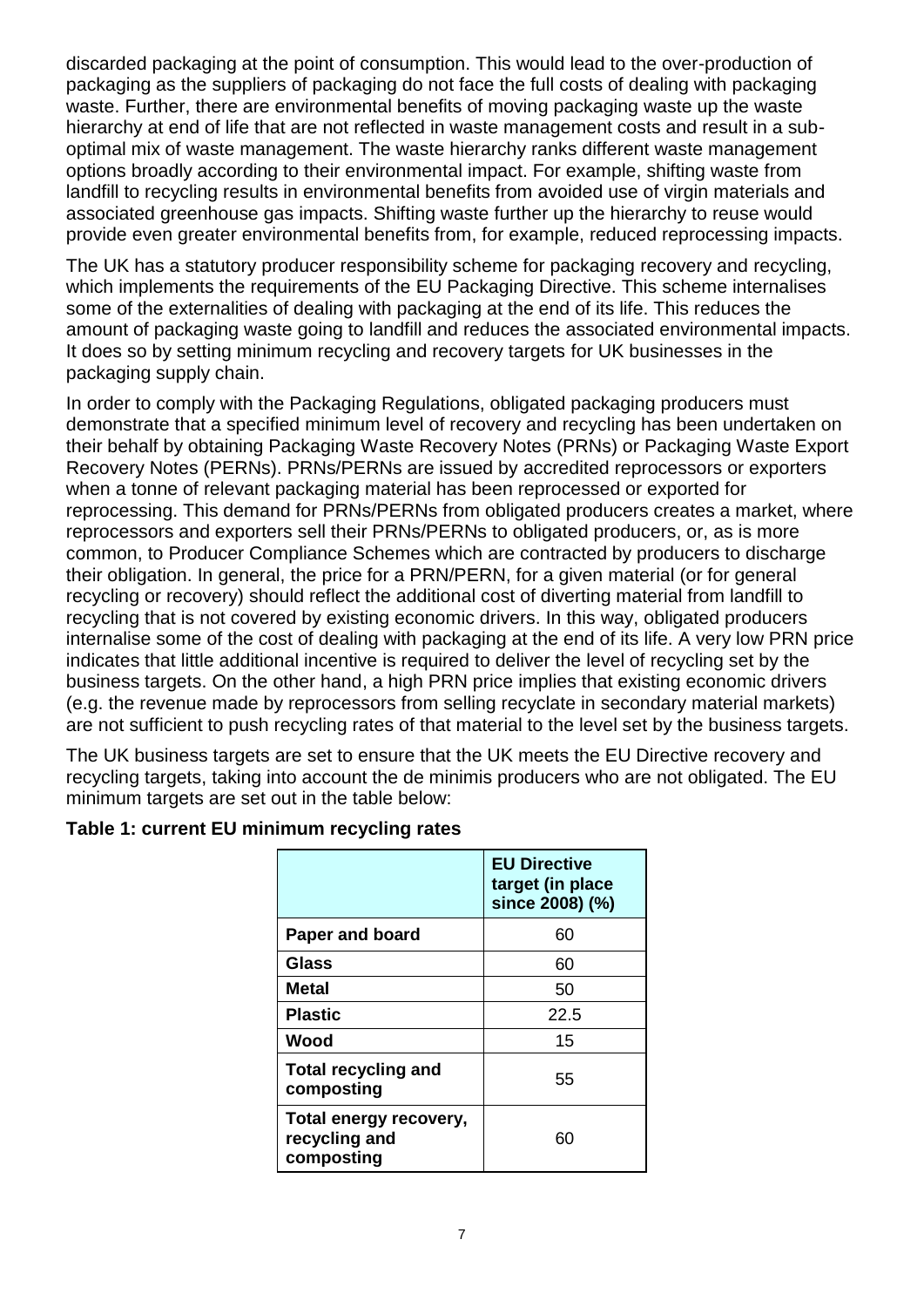discarded packaging at the point of consumption. This would lead to the over-production of packaging as the suppliers of packaging do not face the full costs of dealing with packaging waste. Further, there are environmental benefits of moving packaging waste up the waste hierarchy at end of life that are not reflected in waste management costs and result in a suboptimal mix of waste management. The waste hierarchy ranks different waste management options broadly according to their environmental impact. For example, shifting waste from landfill to recycling results in environmental benefits from avoided use of virgin materials and associated greenhouse gas impacts. Shifting waste further up the hierarchy to reuse would provide even greater environmental benefits from, for example, reduced reprocessing impacts.

The UK has a statutory producer responsibility scheme for packaging recovery and recycling, which implements the requirements of the EU Packaging Directive. This scheme internalises some of the externalities of dealing with packaging at the end of its life. This reduces the amount of packaging waste going to landfill and reduces the associated environmental impacts. It does so by setting minimum recycling and recovery targets for UK businesses in the packaging supply chain.

In order to comply with the Packaging Regulations, obligated packaging producers must demonstrate that a specified minimum level of recovery and recycling has been undertaken on their behalf by obtaining Packaging Waste Recovery Notes (PRNs) or Packaging Waste Export Recovery Notes (PERNs). PRNs/PERNs are issued by accredited reprocessors or exporters when a tonne of relevant packaging material has been reprocessed or exported for reprocessing. This demand for PRNs/PERNs from obligated producers creates a market, where reprocessors and exporters sell their PRNs/PERNs to obligated producers, or, as is more common, to Producer Compliance Schemes which are contracted by producers to discharge their obligation. In general, the price for a PRN/PERN, for a given material (or for general recycling or recovery) should reflect the additional cost of diverting material from landfill to recycling that is not covered by existing economic drivers. In this way, obligated producers internalise some of the cost of dealing with packaging at the end of its life. A very low PRN price indicates that little additional incentive is required to deliver the level of recycling set by the business targets. On the other hand, a high PRN price implies that existing economic drivers (e.g. the revenue made by reprocessors from selling recyclate in secondary material markets) are not sufficient to push recycling rates of that material to the level set by the business targets.

The UK business targets are set to ensure that the UK meets the EU Directive recovery and recycling targets, taking into account the de minimis producers who are not obligated. The EU minimum targets are set out in the table below:

|                                                       | <b>EU Directive</b><br>target (in place<br>since 2008) (%) |
|-------------------------------------------------------|------------------------------------------------------------|
| <b>Paper and board</b>                                | 60                                                         |
| Glass                                                 | 60                                                         |
| Metal                                                 | 50                                                         |
| <b>Plastic</b>                                        | 22.5                                                       |
| Wood                                                  | 15                                                         |
| <b>Total recycling and</b><br>composting              | 55                                                         |
| Total energy recovery,<br>recycling and<br>composting | 60                                                         |

### **Table 1: current EU minimum recycling rates**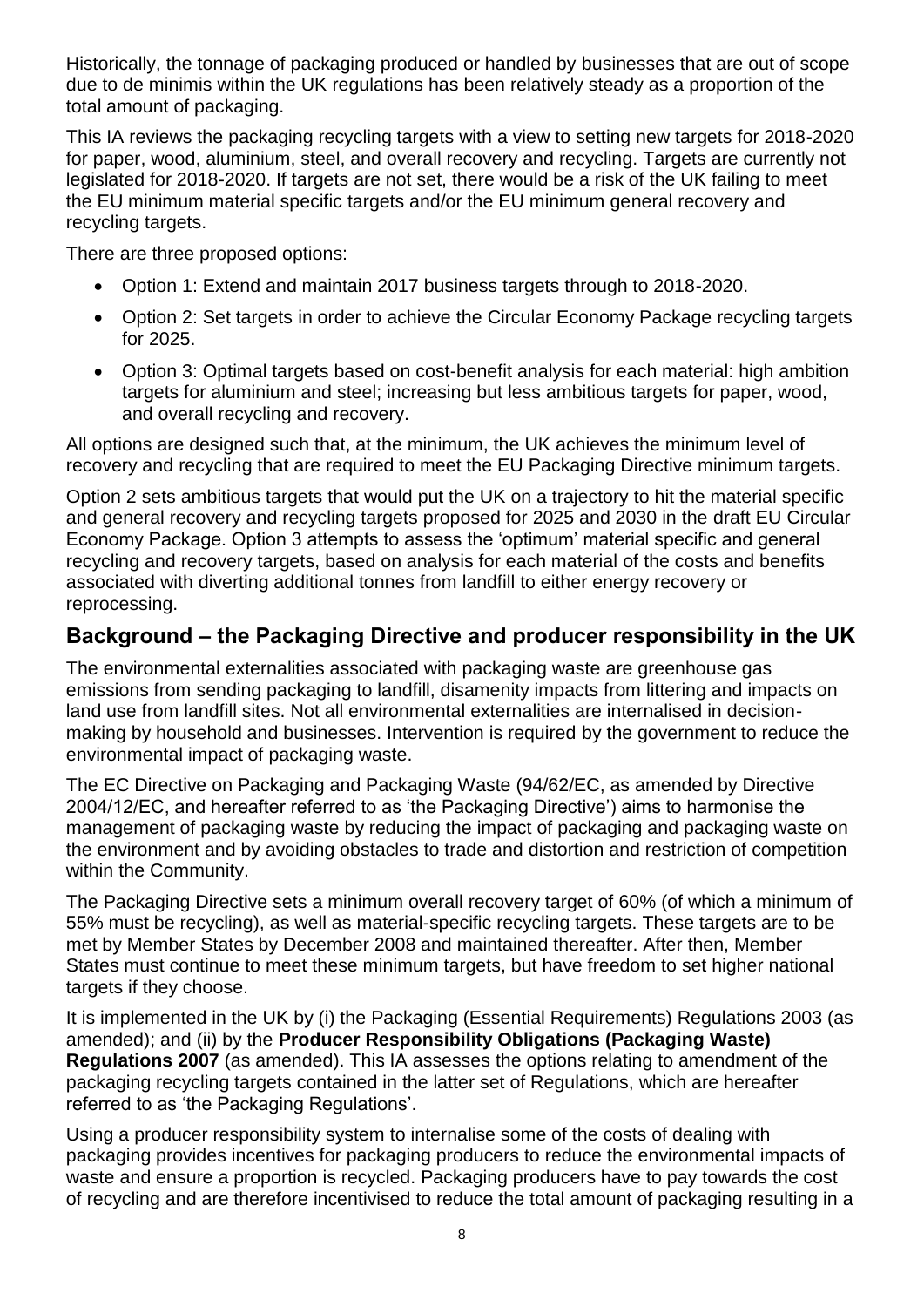Historically, the tonnage of packaging produced or handled by businesses that are out of scope due to de minimis within the UK regulations has been relatively steady as a proportion of the total amount of packaging.

This IA reviews the packaging recycling targets with a view to setting new targets for 2018-2020 for paper, wood, aluminium, steel, and overall recovery and recycling. Targets are currently not legislated for 2018-2020. If targets are not set, there would be a risk of the UK failing to meet the EU minimum material specific targets and/or the EU minimum general recovery and recycling targets.

There are three proposed options:

- Option 1: Extend and maintain 2017 business targets through to 2018-2020.
- Option 2: Set targets in order to achieve the Circular Economy Package recycling targets for 2025.
- Option 3: Optimal targets based on cost-benefit analysis for each material: high ambition targets for aluminium and steel; increasing but less ambitious targets for paper, wood, and overall recycling and recovery.

All options are designed such that, at the minimum, the UK achieves the minimum level of recovery and recycling that are required to meet the EU Packaging Directive minimum targets.

Option 2 sets ambitious targets that would put the UK on a trajectory to hit the material specific and general recovery and recycling targets proposed for 2025 and 2030 in the draft EU Circular Economy Package. Option 3 attempts to assess the 'optimum' material specific and general recycling and recovery targets, based on analysis for each material of the costs and benefits associated with diverting additional tonnes from landfill to either energy recovery or reprocessing.

# **Background – the Packaging Directive and producer responsibility in the UK**

The environmental externalities associated with packaging waste are greenhouse gas emissions from sending packaging to landfill, disamenity impacts from littering and impacts on land use from landfill sites. Not all environmental externalities are internalised in decisionmaking by household and businesses. Intervention is required by the government to reduce the environmental impact of packaging waste.

The EC Directive on Packaging and Packaging Waste (94/62/EC, as amended by Directive 2004/12/EC, and hereafter referred to as 'the Packaging Directive') aims to harmonise the management of packaging waste by reducing the impact of packaging and packaging waste on the environment and by avoiding obstacles to trade and distortion and restriction of competition within the Community.

The Packaging Directive sets a minimum overall recovery target of 60% (of which a minimum of 55% must be recycling), as well as material-specific recycling targets. These targets are to be met by Member States by December 2008 and maintained thereafter. After then, Member States must continue to meet these minimum targets, but have freedom to set higher national targets if they choose.

It is implemented in the UK by (i) the Packaging (Essential Requirements) Regulations 2003 (as amended); and (ii) by the **Producer Responsibility Obligations (Packaging Waste) Regulations 2007** (as amended). This IA assesses the options relating to amendment of the packaging recycling targets contained in the latter set of Regulations, which are hereafter referred to as 'the Packaging Regulations'.

Using a producer responsibility system to internalise some of the costs of dealing with packaging provides incentives for packaging producers to reduce the environmental impacts of waste and ensure a proportion is recycled. Packaging producers have to pay towards the cost of recycling and are therefore incentivised to reduce the total amount of packaging resulting in a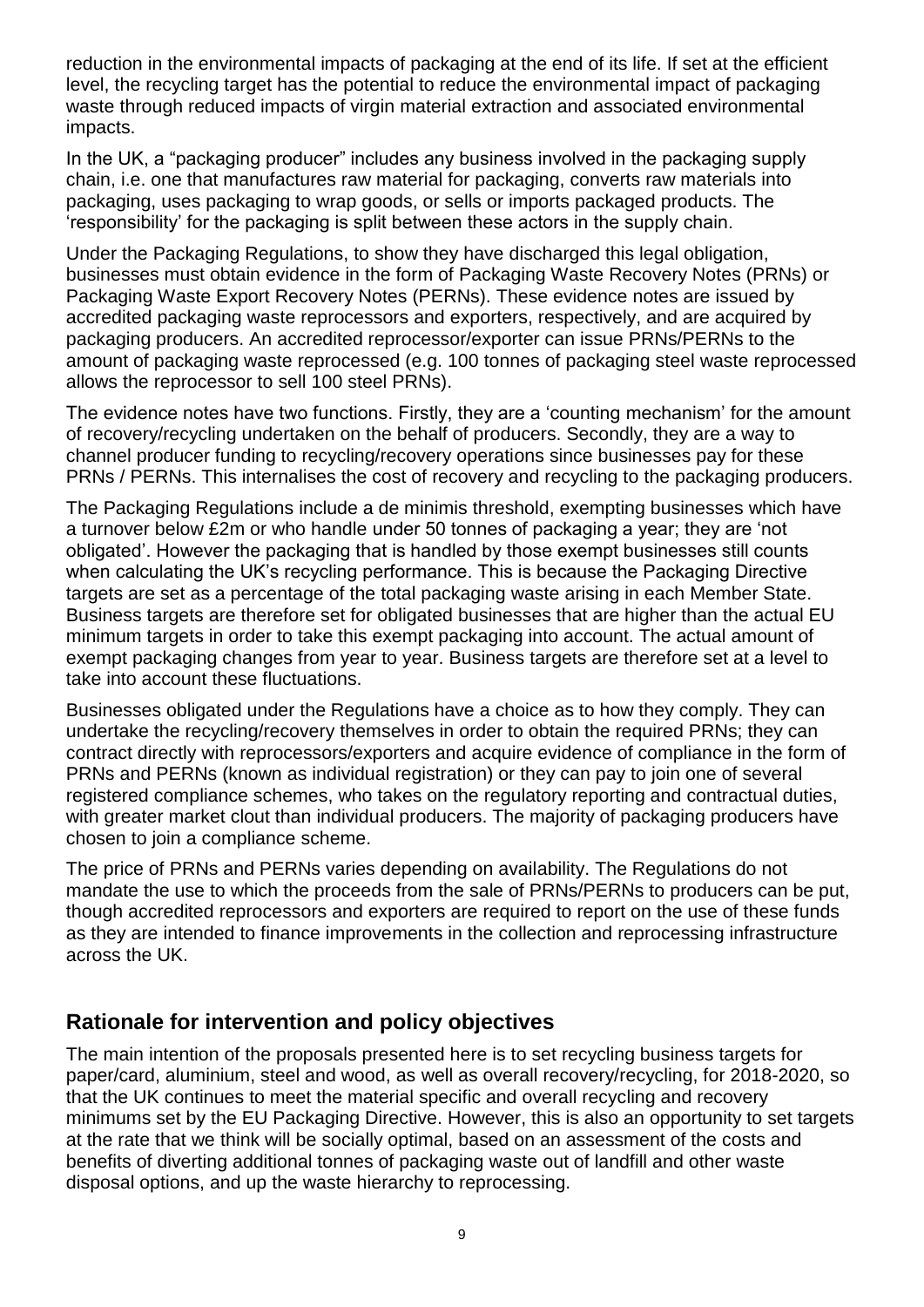reduction in the environmental impacts of packaging at the end of its life. If set at the efficient level, the recycling target has the potential to reduce the environmental impact of packaging waste through reduced impacts of virgin material extraction and associated environmental impacts.

In the UK, a "packaging producer" includes any business involved in the packaging supply chain, i.e. one that manufactures raw material for packaging, converts raw materials into packaging, uses packaging to wrap goods, or sells or imports packaged products. The 'responsibility' for the packaging is split between these actors in the supply chain.

Under the Packaging Regulations, to show they have discharged this legal obligation, businesses must obtain evidence in the form of Packaging Waste Recovery Notes (PRNs) or Packaging Waste Export Recovery Notes (PERNs). These evidence notes are issued by accredited packaging waste reprocessors and exporters, respectively, and are acquired by packaging producers. An accredited reprocessor/exporter can issue PRNs/PERNs to the amount of packaging waste reprocessed (e.g. 100 tonnes of packaging steel waste reprocessed allows the reprocessor to sell 100 steel PRNs).

The evidence notes have two functions. Firstly, they are a 'counting mechanism' for the amount of recovery/recycling undertaken on the behalf of producers. Secondly, they are a way to channel producer funding to recycling/recovery operations since businesses pay for these PRNs / PERNs. This internalises the cost of recovery and recycling to the packaging producers.

The Packaging Regulations include a de minimis threshold, exempting businesses which have a turnover below £2m or who handle under 50 tonnes of packaging a year; they are 'not obligated'. However the packaging that is handled by those exempt businesses still counts when calculating the UK's recycling performance. This is because the Packaging Directive targets are set as a percentage of the total packaging waste arising in each Member State. Business targets are therefore set for obligated businesses that are higher than the actual EU minimum targets in order to take this exempt packaging into account. The actual amount of exempt packaging changes from year to year. Business targets are therefore set at a level to take into account these fluctuations.

Businesses obligated under the Regulations have a choice as to how they comply. They can undertake the recycling/recovery themselves in order to obtain the required PRNs; they can contract directly with reprocessors/exporters and acquire evidence of compliance in the form of PRNs and PERNs (known as individual registration) or they can pay to join one of several registered compliance schemes, who takes on the regulatory reporting and contractual duties, with greater market clout than individual producers. The majority of packaging producers have chosen to join a compliance scheme.

The price of PRNs and PERNs varies depending on availability. The Regulations do not mandate the use to which the proceeds from the sale of PRNs/PERNs to producers can be put, though accredited reprocessors and exporters are required to report on the use of these funds as they are intended to finance improvements in the collection and reprocessing infrastructure across the UK.

# **Rationale for intervention and policy objectives**

The main intention of the proposals presented here is to set recycling business targets for paper/card, aluminium, steel and wood, as well as overall recovery/recycling, for 2018-2020, so that the UK continues to meet the material specific and overall recycling and recovery minimums set by the EU Packaging Directive. However, this is also an opportunity to set targets at the rate that we think will be socially optimal, based on an assessment of the costs and benefits of diverting additional tonnes of packaging waste out of landfill and other waste disposal options, and up the waste hierarchy to reprocessing.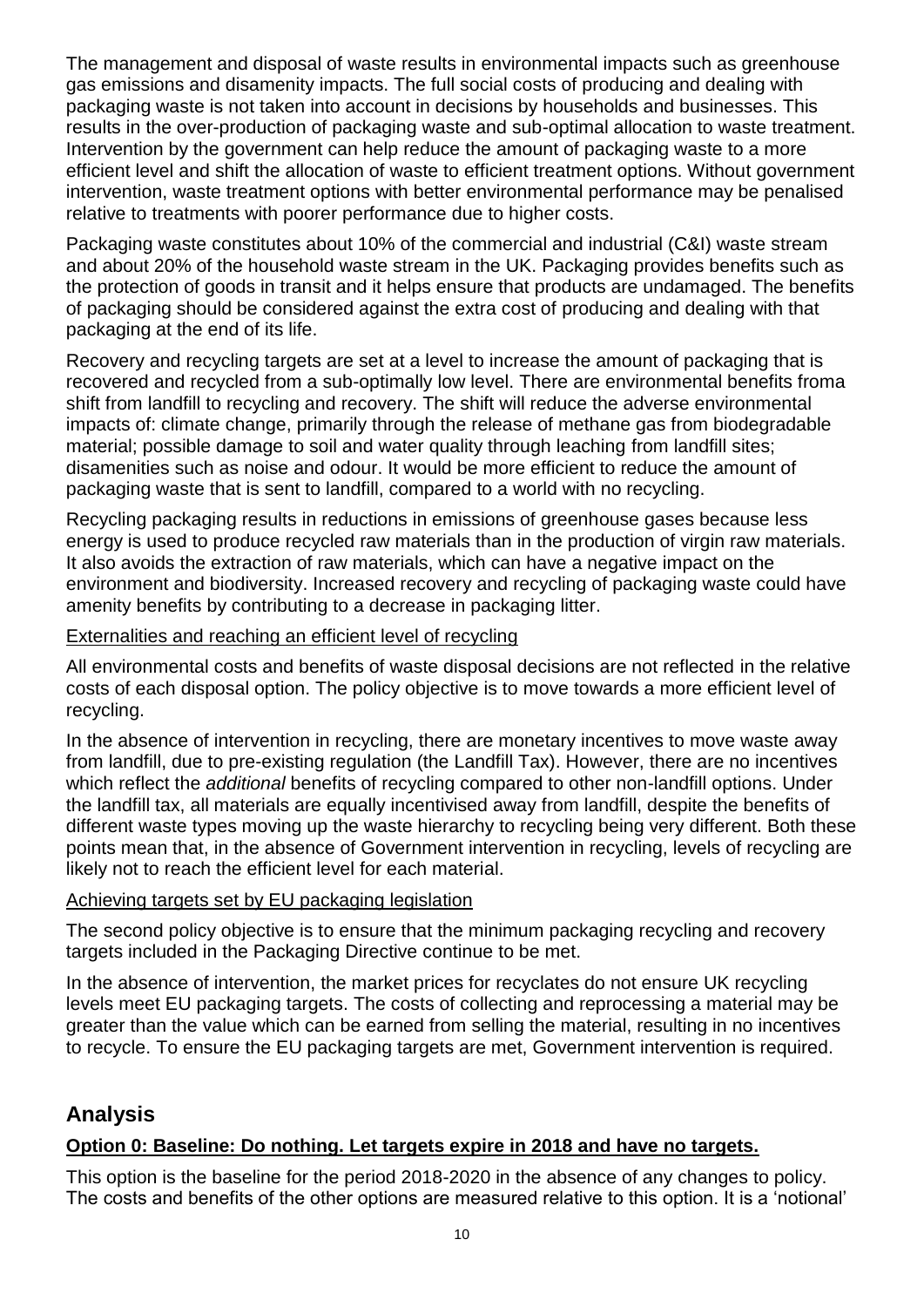The management and disposal of waste results in environmental impacts such as greenhouse gas emissions and disamenity impacts. The full social costs of producing and dealing with packaging waste is not taken into account in decisions by households and businesses. This results in the over-production of packaging waste and sub-optimal allocation to waste treatment. Intervention by the government can help reduce the amount of packaging waste to a more efficient level and shift the allocation of waste to efficient treatment options. Without government intervention, waste treatment options with better environmental performance may be penalised relative to treatments with poorer performance due to higher costs.

Packaging waste constitutes about 10% of the commercial and industrial (C&I) waste stream and about 20% of the household waste stream in the UK. Packaging provides benefits such as the protection of goods in transit and it helps ensure that products are undamaged. The benefits of packaging should be considered against the extra cost of producing and dealing with that packaging at the end of its life.

Recovery and recycling targets are set at a level to increase the amount of packaging that is recovered and recycled from a sub-optimally low level. There are environmental benefits froma shift from landfill to recycling and recovery. The shift will reduce the adverse environmental impacts of: climate change, primarily through the release of methane gas from biodegradable material; possible damage to soil and water quality through leaching from landfill sites; disamenities such as noise and odour. It would be more efficient to reduce the amount of packaging waste that is sent to landfill, compared to a world with no recycling.

Recycling packaging results in reductions in emissions of greenhouse gases because less energy is used to produce recycled raw materials than in the production of virgin raw materials. It also avoids the extraction of raw materials, which can have a negative impact on the environment and biodiversity. Increased recovery and recycling of packaging waste could have amenity benefits by contributing to a decrease in packaging litter.

#### Externalities and reaching an efficient level of recycling

All environmental costs and benefits of waste disposal decisions are not reflected in the relative costs of each disposal option. The policy objective is to move towards a more efficient level of recycling.

In the absence of intervention in recycling, there are monetary incentives to move waste away from landfill, due to pre-existing regulation (the Landfill Tax). However, there are no incentives which reflect the *additional* benefits of recycling compared to other non-landfill options. Under the landfill tax, all materials are equally incentivised away from landfill, despite the benefits of different waste types moving up the waste hierarchy to recycling being very different. Both these points mean that, in the absence of Government intervention in recycling, levels of recycling are likely not to reach the efficient level for each material.

#### Achieving targets set by EU packaging legislation

The second policy objective is to ensure that the minimum packaging recycling and recovery targets included in the Packaging Directive continue to be met.

In the absence of intervention, the market prices for recyclates do not ensure UK recycling levels meet EU packaging targets. The costs of collecting and reprocessing a material may be greater than the value which can be earned from selling the material, resulting in no incentives to recycle. To ensure the EU packaging targets are met, Government intervention is required.

# **Analysis**

### **Option 0: Baseline: Do nothing. Let targets expire in 2018 and have no targets.**

This option is the baseline for the period 2018-2020 in the absence of any changes to policy. The costs and benefits of the other options are measured relative to this option. It is a 'notional'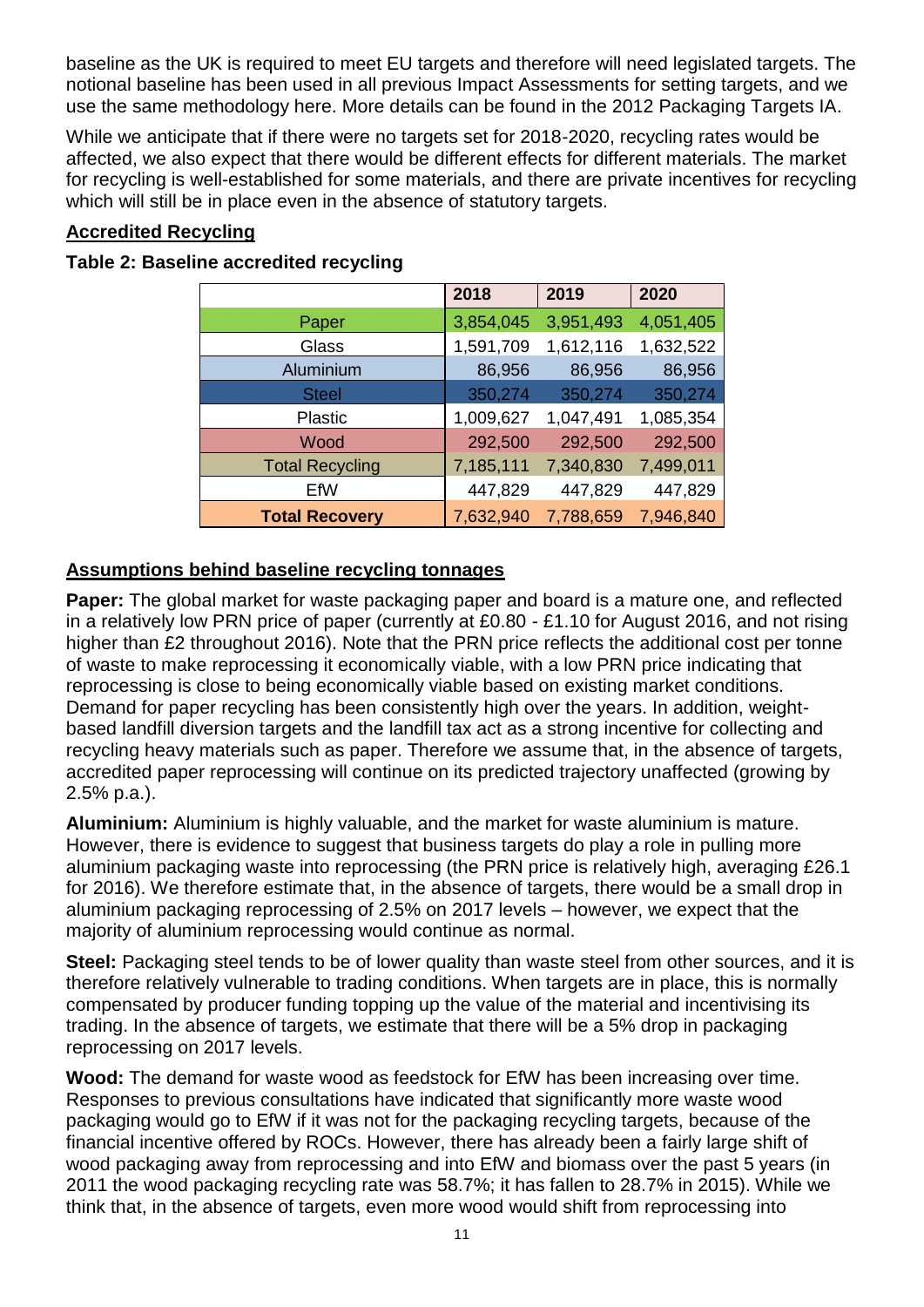baseline as the UK is required to meet EU targets and therefore will need legislated targets. The notional baseline has been used in all previous Impact Assessments for setting targets, and we use the same methodology here. More details can be found in the 2012 Packaging Targets IA.

While we anticipate that if there were no targets set for 2018-2020, recycling rates would be affected, we also expect that there would be different effects for different materials. The market for recycling is well-established for some materials, and there are private incentives for recycling which will still be in place even in the absence of statutory targets.

## **Accredited Recycling**

| Table 2: Baseline accredited recycling |  |
|----------------------------------------|--|
|----------------------------------------|--|

|                        | 2018      | 2019      | 2020      |
|------------------------|-----------|-----------|-----------|
| Paper                  | 3,854,045 | 3,951,493 | 4,051,405 |
| Glass                  | 1,591,709 | 1,612,116 | 1,632,522 |
| Aluminium              | 86,956    | 86,956    | 86,956    |
| <b>Steel</b>           | 350,274   | 350,274   | 350,274   |
| <b>Plastic</b>         | 1,009,627 | 1,047,491 | 1,085,354 |
| Wood                   | 292,500   | 292,500   | 292,500   |
| <b>Total Recycling</b> | 7,185,111 | 7,340,830 | 7,499,011 |
| EfW                    | 447,829   | 447,829   | 447,829   |
| <b>Total Recovery</b>  | 7,632,940 | 7,788,659 | 7,946,840 |

# **Assumptions behind baseline recycling tonnages**

**Paper:** The global market for waste packaging paper and board is a mature one, and reflected in a relatively low PRN price of paper (currently at £0.80 - £1.10 for August 2016, and not rising higher than £2 throughout 2016). Note that the PRN price reflects the additional cost per tonne of waste to make reprocessing it economically viable, with a low PRN price indicating that reprocessing is close to being economically viable based on existing market conditions. Demand for paper recycling has been consistently high over the years. In addition, weightbased landfill diversion targets and the landfill tax act as a strong incentive for collecting and recycling heavy materials such as paper. Therefore we assume that, in the absence of targets, accredited paper reprocessing will continue on its predicted trajectory unaffected (growing by 2.5% p.a.).

**Aluminium:** Aluminium is highly valuable, and the market for waste aluminium is mature. However, there is evidence to suggest that business targets do play a role in pulling more aluminium packaging waste into reprocessing (the PRN price is relatively high, averaging £26.1 for 2016). We therefore estimate that, in the absence of targets, there would be a small drop in aluminium packaging reprocessing of 2.5% on 2017 levels – however, we expect that the majority of aluminium reprocessing would continue as normal.

**Steel:** Packaging steel tends to be of lower quality than waste steel from other sources, and it is therefore relatively vulnerable to trading conditions. When targets are in place, this is normally compensated by producer funding topping up the value of the material and incentivising its trading. In the absence of targets, we estimate that there will be a 5% drop in packaging reprocessing on 2017 levels.

**Wood:** The demand for waste wood as feedstock for EfW has been increasing over time. Responses to previous consultations have indicated that significantly more waste wood packaging would go to EfW if it was not for the packaging recycling targets, because of the financial incentive offered by ROCs. However, there has already been a fairly large shift of wood packaging away from reprocessing and into EfW and biomass over the past 5 years (in 2011 the wood packaging recycling rate was 58.7%; it has fallen to 28.7% in 2015). While we think that, in the absence of targets, even more wood would shift from reprocessing into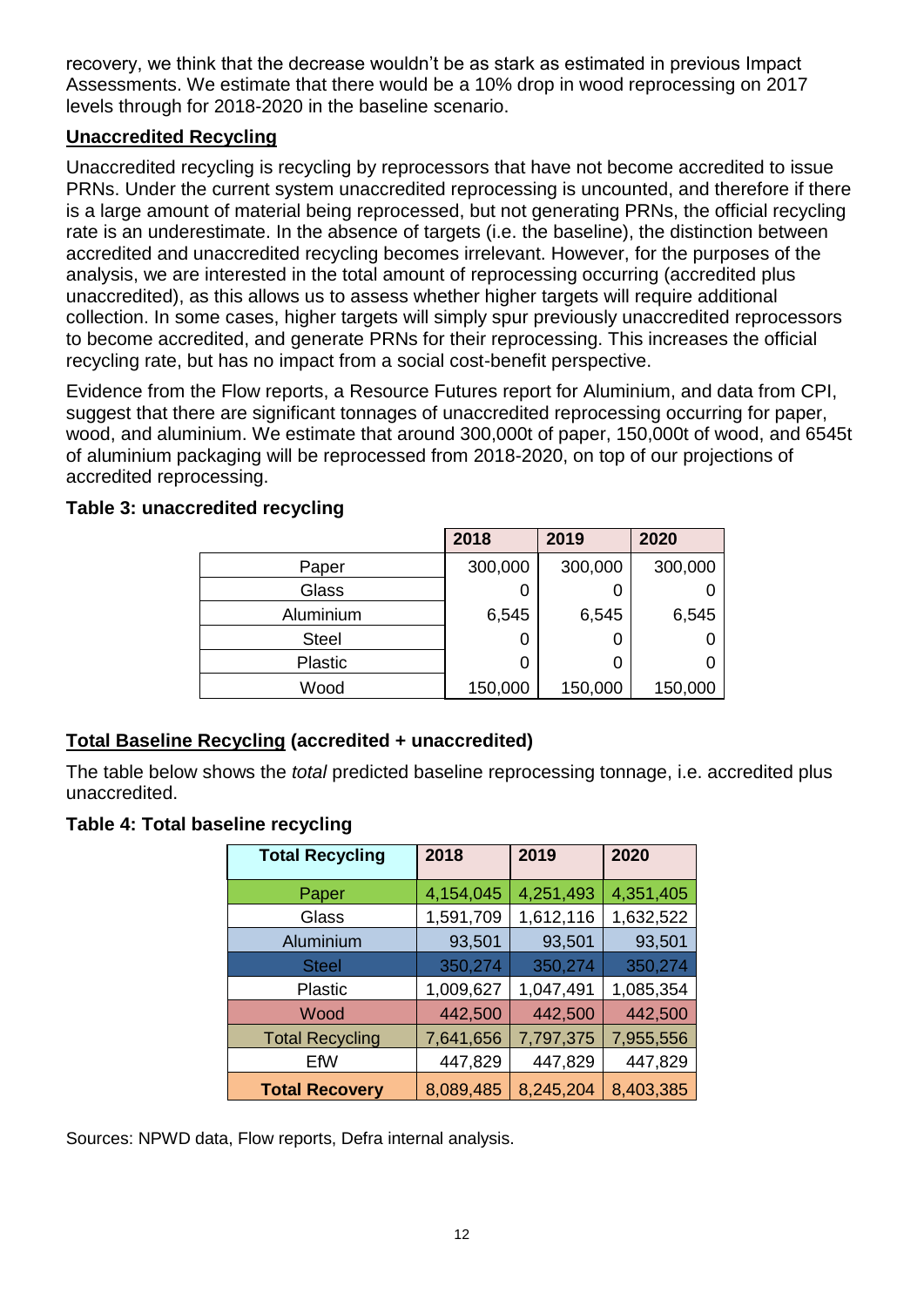recovery, we think that the decrease wouldn't be as stark as estimated in previous Impact Assessments. We estimate that there would be a 10% drop in wood reprocessing on 2017 levels through for 2018-2020 in the baseline scenario.

### **Unaccredited Recycling**

Unaccredited recycling is recycling by reprocessors that have not become accredited to issue PRNs. Under the current system unaccredited reprocessing is uncounted, and therefore if there is a large amount of material being reprocessed, but not generating PRNs, the official recycling rate is an underestimate. In the absence of targets (i.e. the baseline), the distinction between accredited and unaccredited recycling becomes irrelevant. However, for the purposes of the analysis, we are interested in the total amount of reprocessing occurring (accredited plus unaccredited), as this allows us to assess whether higher targets will require additional collection. In some cases, higher targets will simply spur previously unaccredited reprocessors to become accredited, and generate PRNs for their reprocessing. This increases the official recycling rate, but has no impact from a social cost-benefit perspective.

Evidence from the Flow reports, a Resource Futures report for Aluminium, and data from CPI, suggest that there are significant tonnages of unaccredited reprocessing occurring for paper, wood, and aluminium. We estimate that around 300,000t of paper, 150,000t of wood, and 6545t of aluminium packaging will be reprocessed from 2018-2020, on top of our projections of accredited reprocessing.

|                | 2018    | 2019    | 2020    |
|----------------|---------|---------|---------|
| Paper          | 300,000 | 300,000 | 300,000 |
| Glass          | 0       |         |         |
| Aluminium      | 6,545   | 6,545   | 6,545   |
| <b>Steel</b>   | 0       |         |         |
| <b>Plastic</b> | 0       | 0       |         |
| Wood           | 150,000 | 150,000 | 150,000 |

### **Table 3: unaccredited recycling**

### **Total Baseline Recycling (accredited + unaccredited)**

The table below shows the *total* predicted baseline reprocessing tonnage, i.e. accredited plus unaccredited.

#### **Table 4: Total baseline recycling**

| <b>Total Recycling</b> | 2018      | 2019      | 2020      |
|------------------------|-----------|-----------|-----------|
| Paper                  | 4,154,045 | 4,251,493 | 4,351,405 |
| Glass                  | 1,591,709 | 1,612,116 | 1,632,522 |
| Aluminium              | 93,501    | 93,501    | 93,501    |
| <b>Steel</b>           | 350,274   | 350,274   | 350,274   |
| <b>Plastic</b>         | 1,009,627 | 1,047,491 | 1,085,354 |
| Wood                   | 442,500   | 442,500   | 442,500   |
| <b>Total Recycling</b> | 7,641,656 | 7,797,375 | 7,955,556 |
| EfW                    | 447,829   | 447,829   | 447,829   |
| <b>Total Recovery</b>  | 8,089,485 | 8,245,204 | 8,403,385 |

Sources: NPWD data, Flow reports, Defra internal analysis.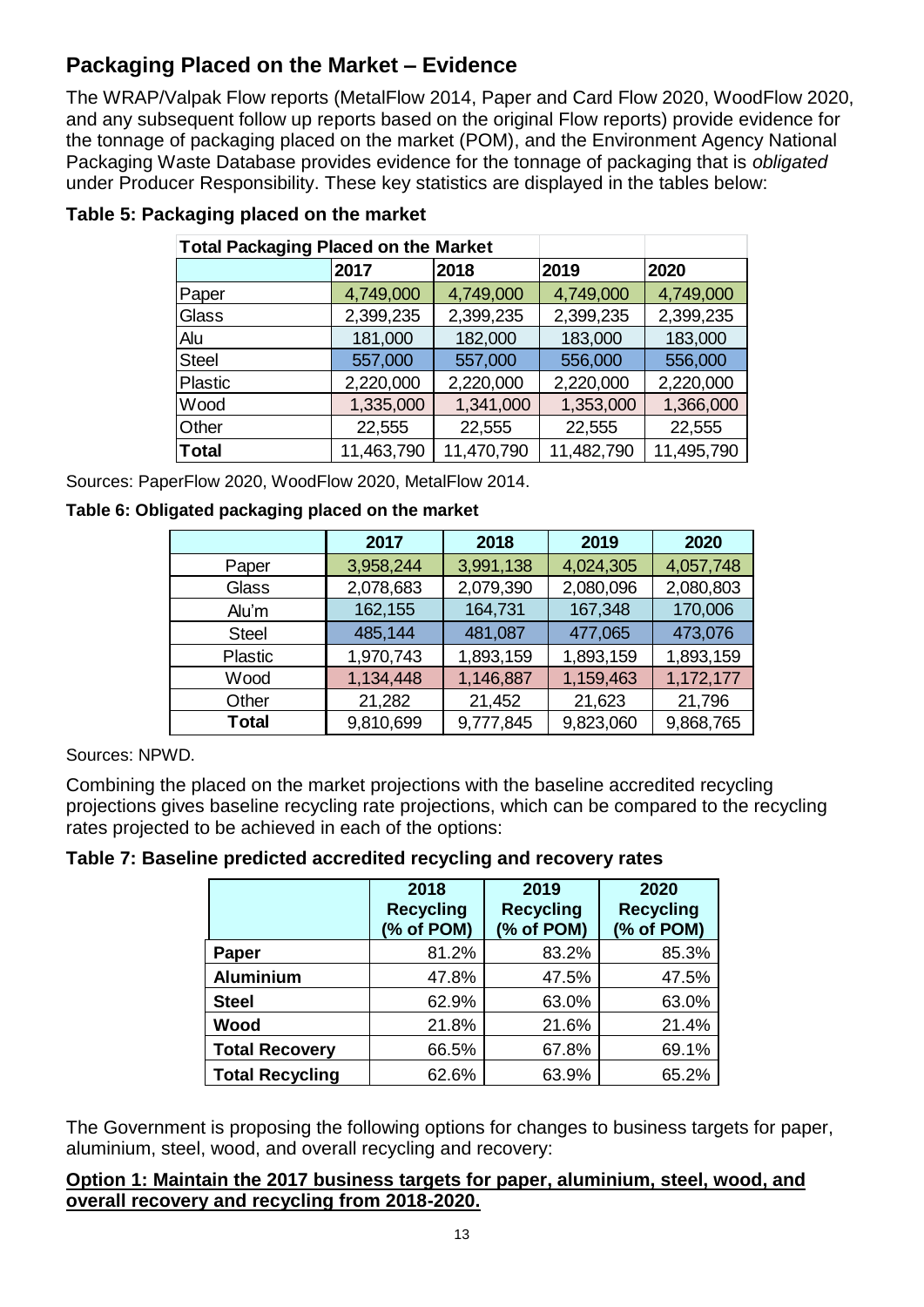# **Packaging Placed on the Market – Evidence**

The WRAP/Valpak Flow reports (MetalFlow 2014, Paper and Card Flow 2020, WoodFlow 2020, and any subsequent follow up reports based on the original Flow reports) provide evidence for the tonnage of packaging placed on the market (POM), and the Environment Agency National Packaging Waste Database provides evidence for the tonnage of packaging that is *obligated*  under Producer Responsibility. These key statistics are displayed in the tables below:

| <b>Total Packaging Placed on the Market</b> |            |            |            |            |
|---------------------------------------------|------------|------------|------------|------------|
|                                             | 2017       | 2018       | 2019       | 2020       |
| Paper                                       | 4,749,000  | 4,749,000  | 4,749,000  | 4,749,000  |
| Glass                                       | 2,399,235  | 2,399,235  | 2,399,235  | 2,399,235  |
| Alu                                         | 181,000    | 182,000    | 183,000    | 183,000    |
| <b>Steel</b>                                | 557,000    | 557,000    | 556,000    | 556,000    |
| <b>Plastic</b>                              | 2,220,000  | 2,220,000  | 2,220,000  | 2,220,000  |
| Wood                                        | 1,335,000  | 1,341,000  | 1,353,000  | 1,366,000  |
| Other                                       | 22,555     | 22,555     | 22,555     | 22,555     |
| <b>Total</b>                                | 11,463,790 | 11,470,790 | 11,482,790 | 11,495,790 |

# **Table 5: Packaging placed on the market**

Sources: PaperFlow 2020, WoodFlow 2020, MetalFlow 2014.

#### **Table 6: Obligated packaging placed on the market**

|                | 2017      | 2018      | 2019      | 2020      |
|----------------|-----------|-----------|-----------|-----------|
| Paper          | 3,958,244 | 3,991,138 | 4,024,305 | 4,057,748 |
| Glass          | 2,078,683 | 2,079,390 | 2,080,096 | 2,080,803 |
| Alu'm          | 162,155   | 164,731   | 167,348   | 170,006   |
| <b>Steel</b>   | 485,144   | 481,087   | 477,065   | 473,076   |
| <b>Plastic</b> | 1,970,743 | 1,893,159 | 1,893,159 | 1,893,159 |
| Wood           | 1,134,448 | 1,146,887 | 1,159,463 | 1,172,177 |
| Other          | 21,282    |           | 21,623    | 21,796    |
| <b>Total</b>   | 9,810,699 | 9,777,845 | 9,823,060 | 9,868,765 |

Sources: NPWD.

Combining the placed on the market projections with the baseline accredited recycling projections gives baseline recycling rate projections, which can be compared to the recycling rates projected to be achieved in each of the options:

#### **Table 7: Baseline predicted accredited recycling and recovery rates**

|                        | 2018<br><b>Recycling</b><br>(% of POM) | 2019<br><b>Recycling</b><br>(% of POM) | 2020<br><b>Recycling</b><br>(% of POM) |
|------------------------|----------------------------------------|----------------------------------------|----------------------------------------|
| Paper                  | 81.2%                                  | 83.2%                                  | 85.3%                                  |
| <b>Aluminium</b>       | 47.8%                                  | 47.5%                                  | 47.5%                                  |
| <b>Steel</b>           | 62.9%                                  | 63.0%                                  | 63.0%                                  |
| Wood                   | 21.8%                                  | 21.6%                                  | 21.4%                                  |
| <b>Total Recovery</b>  | 66.5%                                  | 67.8%                                  | 69.1%                                  |
| <b>Total Recycling</b> | 62.6%                                  | 63.9%                                  | 65.2%                                  |

The Government is proposing the following options for changes to business targets for paper, aluminium, steel, wood, and overall recycling and recovery:

#### **Option 1: Maintain the 2017 business targets for paper, aluminium, steel, wood, and overall recovery and recycling from 2018-2020.**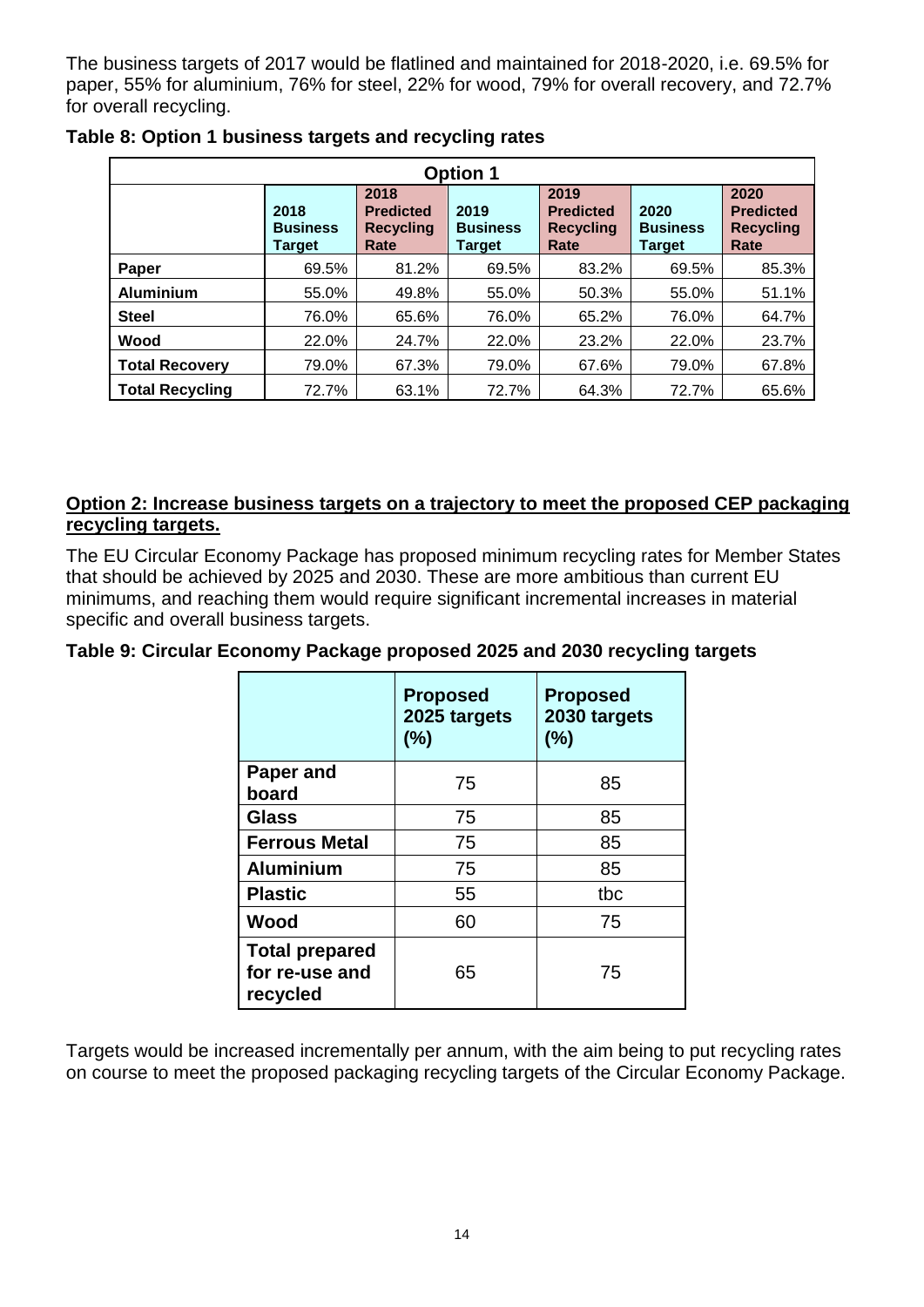The business targets of 2017 would be flatlined and maintained for 2018-2020, i.e. 69.5% for paper, 55% for aluminium, 76% for steel, 22% for wood, 79% for overall recovery, and 72.7% for overall recycling.

| <b>Option 1</b>        |                                   |                                                      |                                   |                                                      |                                          |                                                      |  |  |  |
|------------------------|-----------------------------------|------------------------------------------------------|-----------------------------------|------------------------------------------------------|------------------------------------------|------------------------------------------------------|--|--|--|
|                        | 2018<br><b>Business</b><br>Target | 2018<br><b>Predicted</b><br><b>Recycling</b><br>Rate | 2019<br><b>Business</b><br>Target | 2019<br><b>Predicted</b><br><b>Recycling</b><br>Rate | 2020<br><b>Business</b><br><b>Target</b> | 2020<br><b>Predicted</b><br><b>Recycling</b><br>Rate |  |  |  |
| Paper                  | 69.5%                             | 81.2%                                                | 69.5%                             | 83.2%                                                | 69.5%                                    | 85.3%                                                |  |  |  |
| <b>Aluminium</b>       | 55.0%                             | 49.8%                                                | 55.0%                             | 50.3%                                                | 55.0%                                    | 51.1%                                                |  |  |  |
| <b>Steel</b>           | 76.0%                             | 65.6%                                                | 76.0%                             | 65.2%                                                | 76.0%                                    | 64.7%                                                |  |  |  |
| Wood                   | 22.0%                             | 24.7%                                                | 22.0%                             | 23.2%                                                | 22.0%                                    | 23.7%                                                |  |  |  |
| <b>Total Recovery</b>  | 79.0%                             | 67.3%                                                | 79.0%                             | 67.6%                                                | 79.0%                                    | 67.8%                                                |  |  |  |
| <b>Total Recycling</b> | 72.7%                             | 63.1%                                                | 72.7%                             | 64.3%                                                | 72.7%                                    | 65.6%                                                |  |  |  |

**Table 8: Option 1 business targets and recycling rates**

### **Option 2: Increase business targets on a trajectory to meet the proposed CEP packaging recycling targets.**

The EU Circular Economy Package has proposed minimum recycling rates for Member States that should be achieved by 2025 and 2030. These are more ambitious than current EU minimums, and reaching them would require significant incremental increases in material specific and overall business targets.

### **Table 9: Circular Economy Package proposed 2025 and 2030 recycling targets**

|                                                     | <b>Proposed</b><br>2025 targets<br>(%) | <b>Proposed</b><br>2030 targets<br>(%) |
|-----------------------------------------------------|----------------------------------------|----------------------------------------|
| Paper and<br>board                                  | 75                                     | 85                                     |
| <b>Glass</b>                                        | 75                                     | 85                                     |
| <b>Ferrous Metal</b>                                | 75                                     | 85                                     |
| <b>Aluminium</b>                                    | 75                                     | 85                                     |
| <b>Plastic</b>                                      | 55                                     | tbc                                    |
| Wood                                                | 60                                     | 75                                     |
| <b>Total prepared</b><br>for re-use and<br>recycled | 65                                     | 75                                     |

Targets would be increased incrementally per annum, with the aim being to put recycling rates on course to meet the proposed packaging recycling targets of the Circular Economy Package.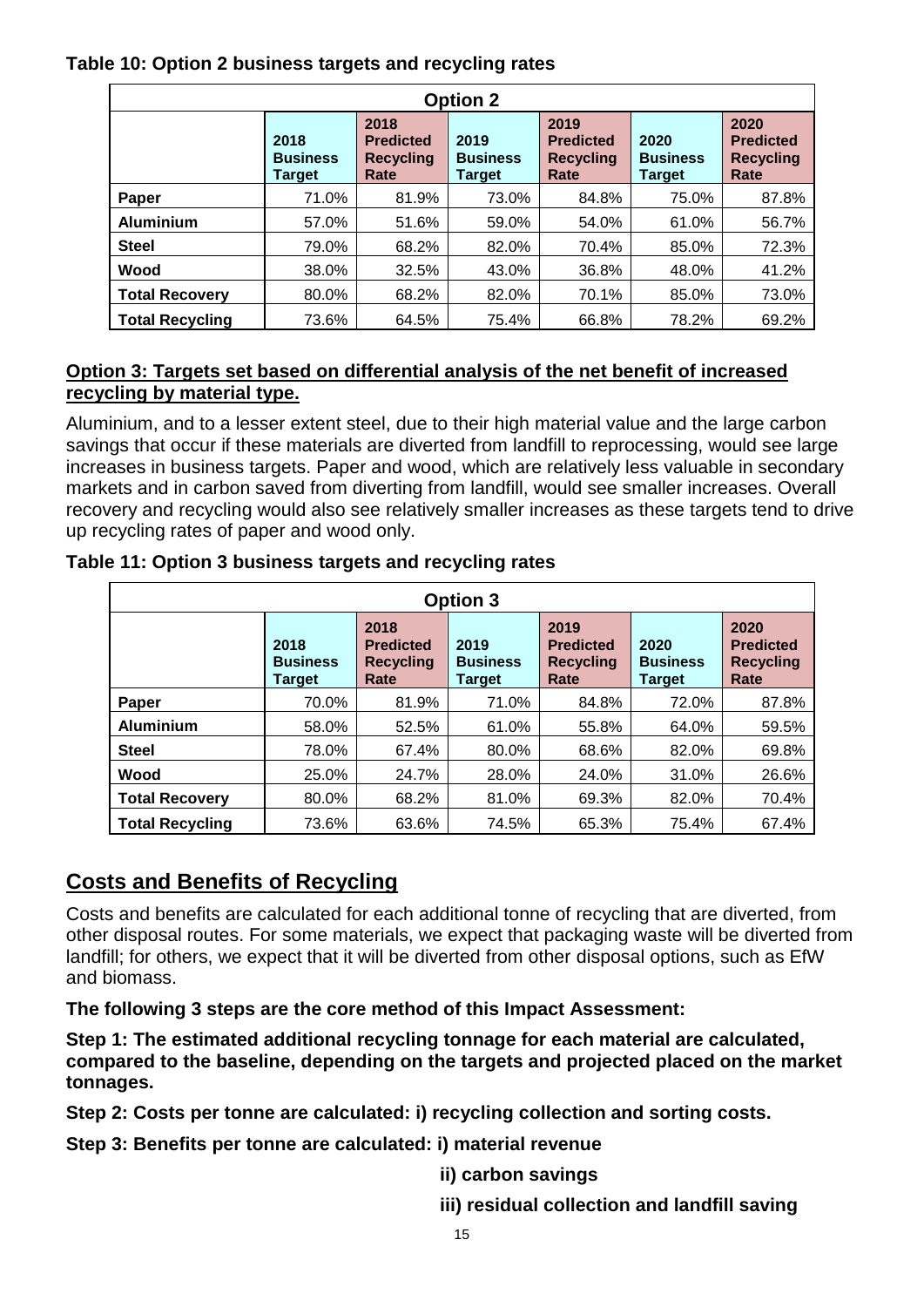### **Table 10: Option 2 business targets and recycling rates**

| <b>Option 2</b>        |                                   |                                                      |                                          |                                                      |                                          |                                                      |  |  |  |
|------------------------|-----------------------------------|------------------------------------------------------|------------------------------------------|------------------------------------------------------|------------------------------------------|------------------------------------------------------|--|--|--|
|                        | 2018<br><b>Business</b><br>Target | 2018<br><b>Predicted</b><br><b>Recycling</b><br>Rate | 2019<br><b>Business</b><br><b>Target</b> | 2019<br><b>Predicted</b><br><b>Recycling</b><br>Rate | 2020<br><b>Business</b><br><b>Target</b> | 2020<br><b>Predicted</b><br><b>Recycling</b><br>Rate |  |  |  |
| Paper                  | 71.0%                             | 81.9%                                                | 73.0%                                    | 84.8%                                                | 75.0%                                    | 87.8%                                                |  |  |  |
| <b>Aluminium</b>       | 57.0%                             | 51.6%                                                | 59.0%                                    | 54.0%                                                | 61.0%                                    | 56.7%                                                |  |  |  |
| <b>Steel</b>           | 79.0%                             | 68.2%                                                | 82.0%                                    | 70.4%                                                | 85.0%                                    | 72.3%                                                |  |  |  |
| Wood                   | 38.0%                             | 32.5%                                                | 43.0%                                    | 36.8%                                                | 48.0%                                    | 41.2%                                                |  |  |  |
| <b>Total Recovery</b>  | 80.0%                             | 68.2%                                                | 82.0%                                    | 70.1%                                                | 85.0%                                    | 73.0%                                                |  |  |  |
| <b>Total Recycling</b> | 73.6%                             | 64.5%                                                | 75.4%                                    | 66.8%                                                | 78.2%                                    | 69.2%                                                |  |  |  |

# **Option 3: Targets set based on differential analysis of the net benefit of increased recycling by material type.**

Aluminium, and to a lesser extent steel, due to their high material value and the large carbon savings that occur if these materials are diverted from landfill to reprocessing, would see large increases in business targets. Paper and wood, which are relatively less valuable in secondary markets and in carbon saved from diverting from landfill, would see smaller increases. Overall recovery and recycling would also see relatively smaller increases as these targets tend to drive up recycling rates of paper and wood only.

| <b>Option 3</b>        |                                          |                                                      |                                          |                                                      |                                          |                                                      |  |  |  |
|------------------------|------------------------------------------|------------------------------------------------------|------------------------------------------|------------------------------------------------------|------------------------------------------|------------------------------------------------------|--|--|--|
|                        | 2018<br><b>Business</b><br><b>Target</b> | 2018<br><b>Predicted</b><br><b>Recycling</b><br>Rate | 2019<br><b>Business</b><br><b>Target</b> | 2019<br><b>Predicted</b><br><b>Recycling</b><br>Rate | 2020<br><b>Business</b><br><b>Target</b> | 2020<br><b>Predicted</b><br><b>Recycling</b><br>Rate |  |  |  |
| Paper                  | 70.0%                                    | 81.9%                                                | 71.0%                                    | 84.8%                                                | 72.0%                                    | 87.8%                                                |  |  |  |
| <b>Aluminium</b>       | 58.0%                                    | 52.5%                                                | 61.0%                                    | 55.8%                                                | 64.0%                                    | 59.5%                                                |  |  |  |
| <b>Steel</b>           | 78.0%                                    | 67.4%                                                | 80.0%                                    | 68.6%                                                | 82.0%                                    | 69.8%                                                |  |  |  |
| Wood                   | 25.0%                                    | 24.7%                                                | 28.0%                                    | 24.0%                                                | 31.0%                                    | 26.6%                                                |  |  |  |
| <b>Total Recovery</b>  | 80.0%                                    | 68.2%                                                | 81.0%                                    | 69.3%                                                | 82.0%                                    | 70.4%                                                |  |  |  |
| <b>Total Recycling</b> | 73.6%                                    | 63.6%                                                | 74.5%                                    | 65.3%                                                | 75.4%                                    | 67.4%                                                |  |  |  |

**Table 11: Option 3 business targets and recycling rates**

# **Costs and Benefits of Recycling**

Costs and benefits are calculated for each additional tonne of recycling that are diverted, from other disposal routes. For some materials, we expect that packaging waste will be diverted from landfill; for others, we expect that it will be diverted from other disposal options, such as EfW and biomass.

**The following 3 steps are the core method of this Impact Assessment:** 

**Step 1: The estimated additional recycling tonnage for each material are calculated, compared to the baseline, depending on the targets and projected placed on the market tonnages.** 

**Step 2: Costs per tonne are calculated: i) recycling collection and sorting costs.** 

**Step 3: Benefits per tonne are calculated: i) material revenue**

**ii) carbon savings**

**iii) residual collection and landfill saving**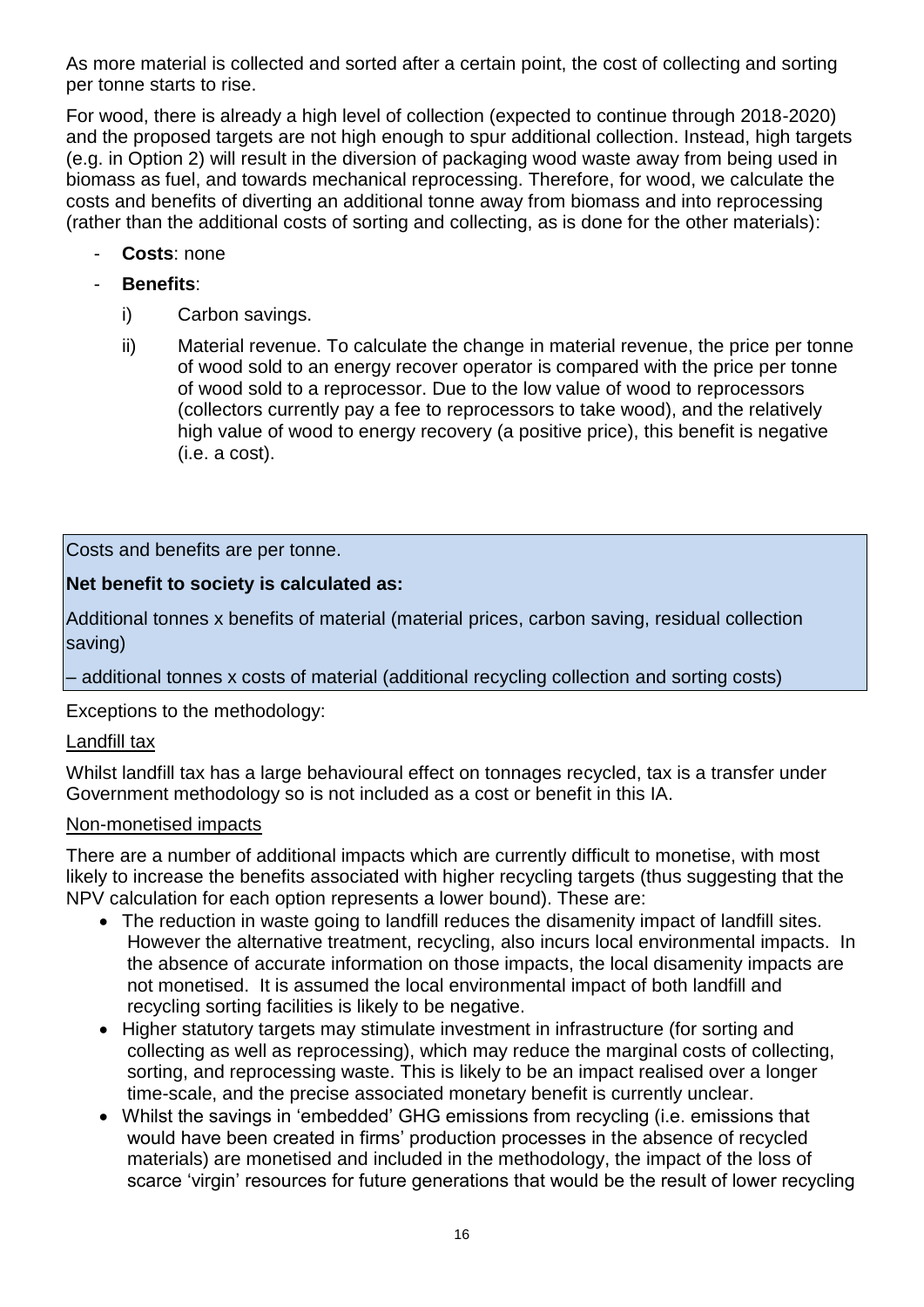As more material is collected and sorted after a certain point, the cost of collecting and sorting per tonne starts to rise.

For wood, there is already a high level of collection (expected to continue through 2018-2020) and the proposed targets are not high enough to spur additional collection. Instead, high targets (e.g. in Option 2) will result in the diversion of packaging wood waste away from being used in biomass as fuel, and towards mechanical reprocessing. Therefore, for wood, we calculate the costs and benefits of diverting an additional tonne away from biomass and into reprocessing (rather than the additional costs of sorting and collecting, as is done for the other materials):

- **Costs**: none
- **Benefits**:
	- i) Carbon savings.
	- ii) Material revenue. To calculate the change in material revenue, the price per tonne of wood sold to an energy recover operator is compared with the price per tonne of wood sold to a reprocessor. Due to the low value of wood to reprocessors (collectors currently pay a fee to reprocessors to take wood), and the relatively high value of wood to energy recovery (a positive price), this benefit is negative (i.e. a cost).

Costs and benefits are per tonne.

# **Net benefit to society is calculated as:**

Additional tonnes x benefits of material (material prices, carbon saving, residual collection saving)

– additional tonnes x costs of material (additional recycling collection and sorting costs)

Exceptions to the methodology:

### Landfill tax

Whilst landfill tax has a large behavioural effect on tonnages recycled, tax is a transfer under Government methodology so is not included as a cost or benefit in this IA.

### Non-monetised impacts

There are a number of additional impacts which are currently difficult to monetise, with most likely to increase the benefits associated with higher recycling targets (thus suggesting that the NPV calculation for each option represents a lower bound). These are:

- The reduction in waste going to landfill reduces the disamenity impact of landfill sites. However the alternative treatment, recycling, also incurs local environmental impacts. In the absence of accurate information on those impacts, the local disamenity impacts are not monetised. It is assumed the local environmental impact of both landfill and recycling sorting facilities is likely to be negative.
- Higher statutory targets may stimulate investment in infrastructure (for sorting and collecting as well as reprocessing), which may reduce the marginal costs of collecting, sorting, and reprocessing waste. This is likely to be an impact realised over a longer time-scale, and the precise associated monetary benefit is currently unclear.
- Whilst the savings in 'embedded' GHG emissions from recycling (i.e. emissions that would have been created in firms' production processes in the absence of recycled materials) are monetised and included in the methodology, the impact of the loss of scarce 'virgin' resources for future generations that would be the result of lower recycling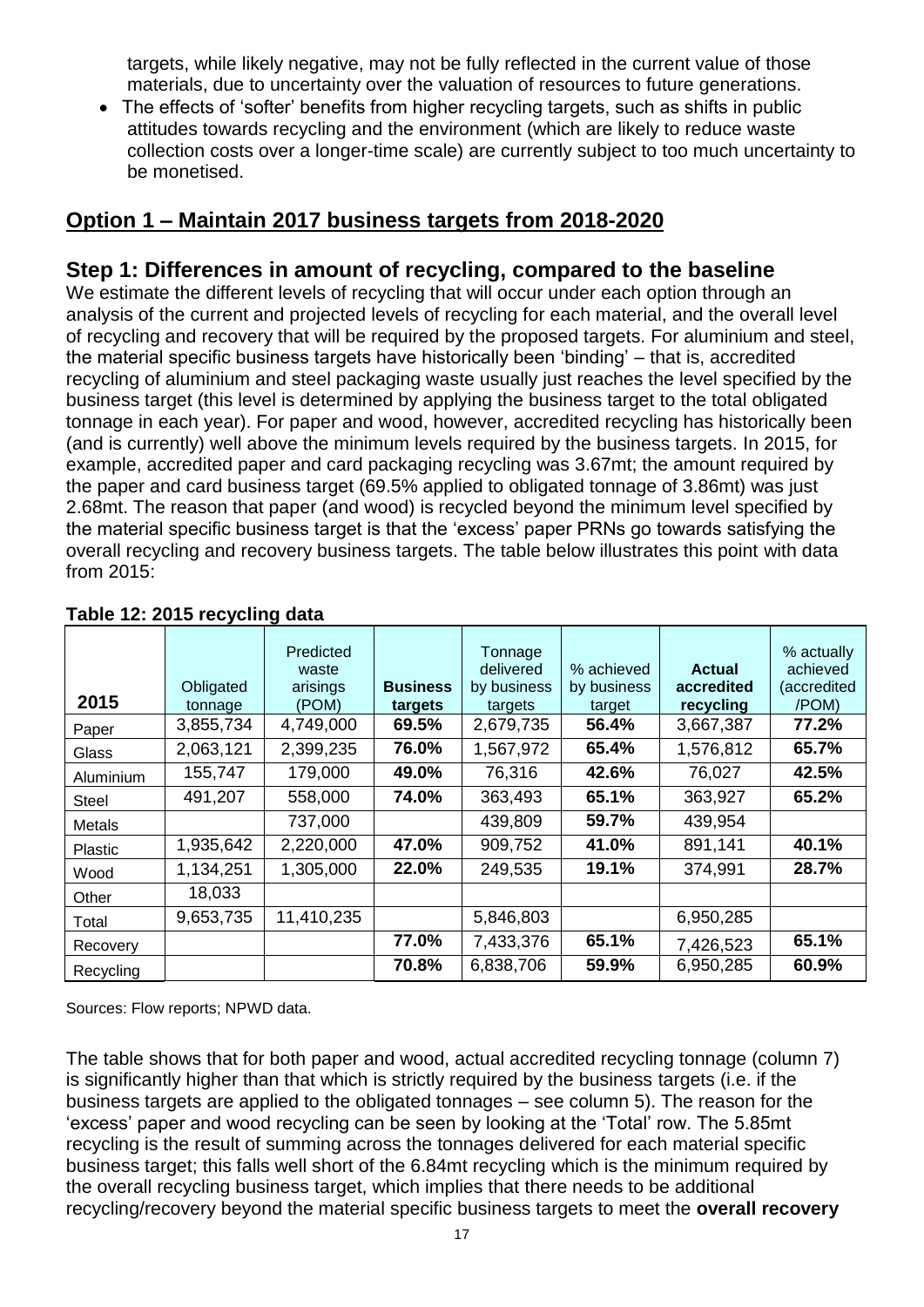targets, while likely negative, may not be fully reflected in the current value of those materials, due to uncertainty over the valuation of resources to future generations.

• The effects of 'softer' benefits from higher recycling targets, such as shifts in public attitudes towards recycling and the environment (which are likely to reduce waste collection costs over a longer-time scale) are currently subject to too much uncertainty to be monetised.

# **Option 1 – Maintain 2017 business targets from 2018-2020**

# **Step 1: Differences in amount of recycling, compared to the baseline**

We estimate the different levels of recycling that will occur under each option through an analysis of the current and projected levels of recycling for each material, and the overall level of recycling and recovery that will be required by the proposed targets. For aluminium and steel, the material specific business targets have historically been 'binding' – that is, accredited recycling of aluminium and steel packaging waste usually just reaches the level specified by the business target (this level is determined by applying the business target to the total obligated tonnage in each year). For paper and wood, however, accredited recycling has historically been (and is currently) well above the minimum levels required by the business targets. In 2015, for example, accredited paper and card packaging recycling was 3.67mt; the amount required by the paper and card business target (69.5% applied to obligated tonnage of 3.86mt) was just 2.68mt. The reason that paper (and wood) is recycled beyond the minimum level specified by the material specific business target is that the 'excess' paper PRNs go towards satisfying the overall recycling and recovery business targets. The table below illustrates this point with data from 2015:

| 2015           | Obligated<br>tonnage | Predicted<br>waste<br>arisings<br>(POM) | <b>Business</b><br>targets | Tonnage<br>delivered<br>by business<br>targets | % achieved<br>by business<br>target | <b>Actual</b><br>accredited<br>recycling | % actually<br>achieved<br>(accredited<br>/POM) |
|----------------|----------------------|-----------------------------------------|----------------------------|------------------------------------------------|-------------------------------------|------------------------------------------|------------------------------------------------|
| Paper          | 3,855,734            | 4,749,000                               | 69.5%                      | 2,679,735                                      | 56.4%                               | 3,667,387                                | 77.2%                                          |
| Glass          | 2,063,121            | 2,399,235                               | 76.0%                      | 1,567,972                                      | 65.4%                               | 1,576,812                                | 65.7%                                          |
| Aluminium      | 155,747              | 179,000                                 | 49.0%                      | 76,316                                         | 42.6%                               | 76,027                                   | 42.5%                                          |
| Steel          | 491,207              | 558,000                                 | 74.0%                      | 363,493                                        | 65.1%                               | 363,927                                  | 65.2%                                          |
| Metals         |                      | 737,000                                 |                            | 439,809                                        | 59.7%                               | 439,954                                  |                                                |
| <b>Plastic</b> | 1,935,642            | 2,220,000                               | 47.0%                      | 909,752                                        | 41.0%                               | 891,141                                  | 40.1%                                          |
| Wood           | 1,134,251            | 1,305,000                               | 22.0%                      | 249,535                                        | 19.1%                               | 374,991                                  | 28.7%                                          |
| Other          | 18,033               |                                         |                            |                                                |                                     |                                          |                                                |
| Total          | 9,653,735            | 11,410,235                              |                            | 5,846,803                                      |                                     | 6,950,285                                |                                                |
| Recovery       |                      |                                         | 77.0%                      | 7,433,376                                      | 65.1%                               | 7,426,523                                | 65.1%                                          |
| Recycling      |                      |                                         | 70.8%                      | 6,838,706                                      | 59.9%                               | 6,950,285                                | 60.9%                                          |

### **Table 12: 2015 recycling data**

Sources: Flow reports; NPWD data.

The table shows that for both paper and wood, actual accredited recycling tonnage (column 7) is significantly higher than that which is strictly required by the business targets (i.e. if the business targets are applied to the obligated tonnages – see column 5). The reason for the 'excess' paper and wood recycling can be seen by looking at the 'Total' row. The 5.85mt recycling is the result of summing across the tonnages delivered for each material specific business target; this falls well short of the 6.84mt recycling which is the minimum required by the overall recycling business target, which implies that there needs to be additional recycling/recovery beyond the material specific business targets to meet the **overall recovery**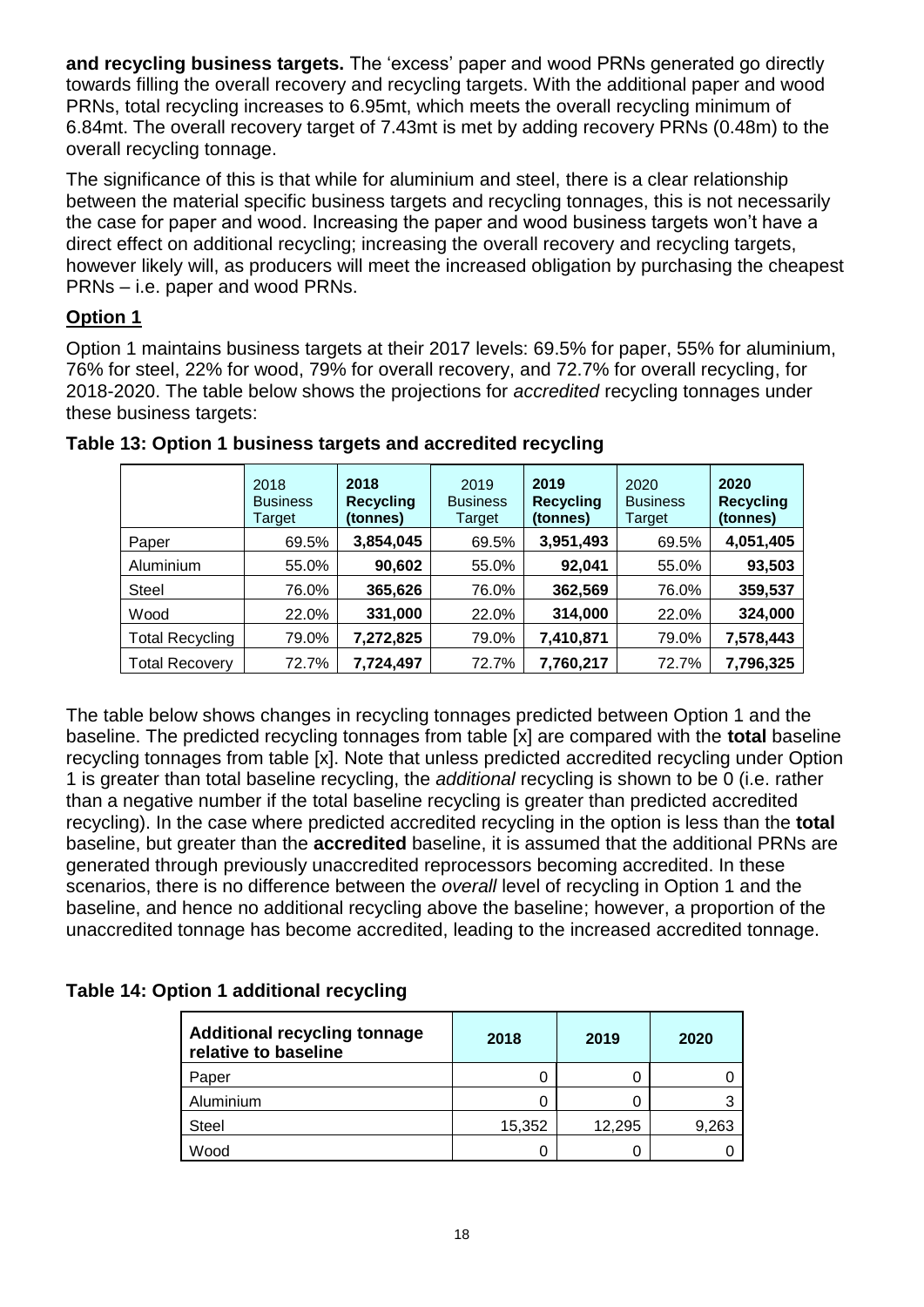**and recycling business targets.** The 'excess' paper and wood PRNs generated go directly towards filling the overall recovery and recycling targets. With the additional paper and wood PRNs, total recycling increases to 6.95mt, which meets the overall recycling minimum of 6.84mt. The overall recovery target of 7.43mt is met by adding recovery PRNs (0.48m) to the overall recycling tonnage.

The significance of this is that while for aluminium and steel, there is a clear relationship between the material specific business targets and recycling tonnages, this is not necessarily the case for paper and wood. Increasing the paper and wood business targets won't have a direct effect on additional recycling; increasing the overall recovery and recycling targets, however likely will, as producers will meet the increased obligation by purchasing the cheapest PRNs – i.e. paper and wood PRNs.

## **Option 1**

Option 1 maintains business targets at their 2017 levels: 69.5% for paper, 55% for aluminium, 76% for steel, 22% for wood, 79% for overall recovery, and 72.7% for overall recycling, for 2018-2020. The table below shows the projections for *accredited* recycling tonnages under these business targets:

|                        | 2018<br><b>Business</b><br>Target | 2018<br><b>Recycling</b><br>(tonnes) | 2019<br><b>Business</b><br>Target | 2019<br><b>Recycling</b><br>(tonnes) | 2020<br><b>Business</b><br>Target | 2020<br><b>Recycling</b><br>(tonnes) |
|------------------------|-----------------------------------|--------------------------------------|-----------------------------------|--------------------------------------|-----------------------------------|--------------------------------------|
| Paper                  | 69.5%                             | 3,854,045                            | 69.5%                             | 3,951,493                            | 69.5%                             | 4,051,405                            |
| Aluminium              | 55.0%                             | 90,602                               | 55.0%                             | 92,041                               | 55.0%                             | 93,503                               |
| <b>Steel</b>           | 76.0%                             | 365,626                              | 76.0%                             | 362,569                              | 76.0%                             | 359,537                              |
| Wood                   | 22.0%                             | 331,000                              | 22.0%                             | 314,000                              | 22.0%                             | 324,000                              |
| <b>Total Recycling</b> | 79.0%                             | 7,272,825                            | 79.0%                             | 7,410,871                            | 79.0%                             | 7,578,443                            |
| <b>Total Recovery</b>  | 72.7%                             | 7,724,497                            | 72.7%                             | 7,760,217                            | 72.7%                             | 7,796,325                            |

**Table 13: Option 1 business targets and accredited recycling**

The table below shows changes in recycling tonnages predicted between Option 1 and the baseline. The predicted recycling tonnages from table [x] are compared with the **total** baseline recycling tonnages from table [x]. Note that unless predicted accredited recycling under Option 1 is greater than total baseline recycling, the *additional* recycling is shown to be 0 (i.e. rather than a negative number if the total baseline recycling is greater than predicted accredited recycling). In the case where predicted accredited recycling in the option is less than the **total** baseline, but greater than the **accredited** baseline, it is assumed that the additional PRNs are generated through previously unaccredited reprocessors becoming accredited. In these scenarios, there is no difference between the *overall* level of recycling in Option 1 and the baseline, and hence no additional recycling above the baseline; however, a proportion of the unaccredited tonnage has become accredited, leading to the increased accredited tonnage.

### **Table 14: Option 1 additional recycling**

| <b>Additional recycling tonnage</b><br>relative to baseline | 2018   | 2019   | 2020  |
|-------------------------------------------------------------|--------|--------|-------|
| Paper                                                       |        |        |       |
| Aluminium                                                   |        |        |       |
| <b>Steel</b>                                                | 15,352 | 12,295 | 9,263 |
| Wood                                                        | 0      |        |       |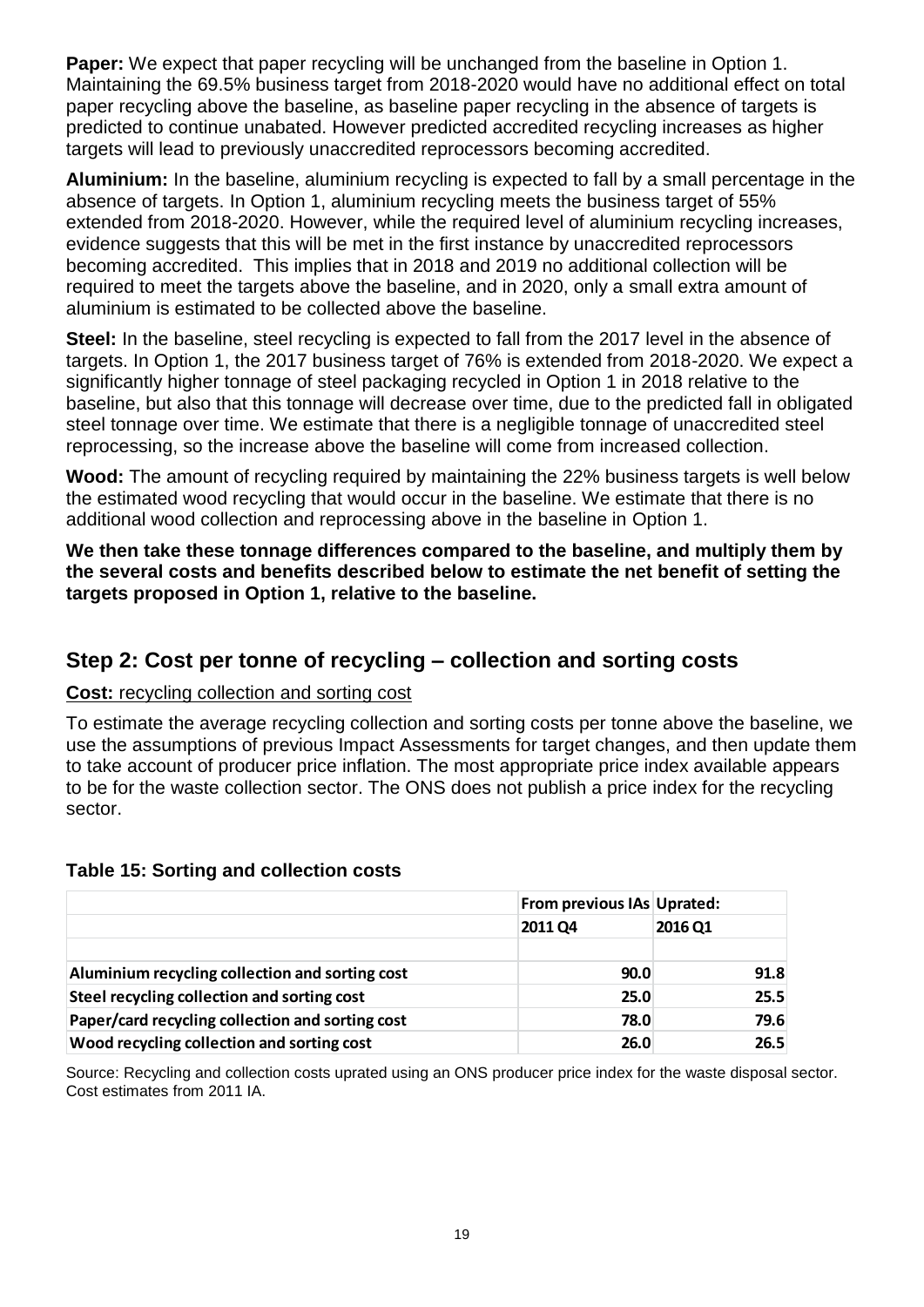**Paper:** We expect that paper recycling will be unchanged from the baseline in Option 1. Maintaining the 69.5% business target from 2018-2020 would have no additional effect on total paper recycling above the baseline, as baseline paper recycling in the absence of targets is predicted to continue unabated. However predicted accredited recycling increases as higher targets will lead to previously unaccredited reprocessors becoming accredited.

**Aluminium:** In the baseline, aluminium recycling is expected to fall by a small percentage in the absence of targets. In Option 1, aluminium recycling meets the business target of 55% extended from 2018-2020. However, while the required level of aluminium recycling increases, evidence suggests that this will be met in the first instance by unaccredited reprocessors becoming accredited. This implies that in 2018 and 2019 no additional collection will be required to meet the targets above the baseline, and in 2020, only a small extra amount of aluminium is estimated to be collected above the baseline.

**Steel:** In the baseline, steel recycling is expected to fall from the 2017 level in the absence of targets. In Option 1, the 2017 business target of 76% is extended from 2018-2020. We expect a significantly higher tonnage of steel packaging recycled in Option 1 in 2018 relative to the baseline, but also that this tonnage will decrease over time, due to the predicted fall in obligated steel tonnage over time. We estimate that there is a negligible tonnage of unaccredited steel reprocessing, so the increase above the baseline will come from increased collection.

**Wood:** The amount of recycling required by maintaining the 22% business targets is well below the estimated wood recycling that would occur in the baseline. We estimate that there is no additional wood collection and reprocessing above in the baseline in Option 1.

**We then take these tonnage differences compared to the baseline, and multiply them by the several costs and benefits described below to estimate the net benefit of setting the targets proposed in Option 1, relative to the baseline.** 

# **Step 2: Cost per tonne of recycling – collection and sorting costs**

### **Cost:** recycling collection and sorting cost

To estimate the average recycling collection and sorting costs per tonne above the baseline, we use the assumptions of previous Impact Assessments for target changes, and then update them to take account of producer price inflation. The most appropriate price index available appears to be for the waste collection sector. The ONS does not publish a price index for the recycling sector.

#### **Table 15: Sorting and collection costs**

|                                                  | From previous IAs Uprated: |         |
|--------------------------------------------------|----------------------------|---------|
|                                                  | <b>2011 Q4</b>             | 2016 Q1 |
|                                                  |                            |         |
| Aluminium recycling collection and sorting cost  | 90.0                       | 91.8    |
| Steel recycling collection and sorting cost      | 25.0                       | 25.5    |
| Paper/card recycling collection and sorting cost | 78.0                       | 79.6    |
| Wood recycling collection and sorting cost       | 26.0                       | 26.5    |

Source: Recycling and collection costs uprated using an ONS producer price index for the waste disposal sector. Cost estimates from 2011 IA.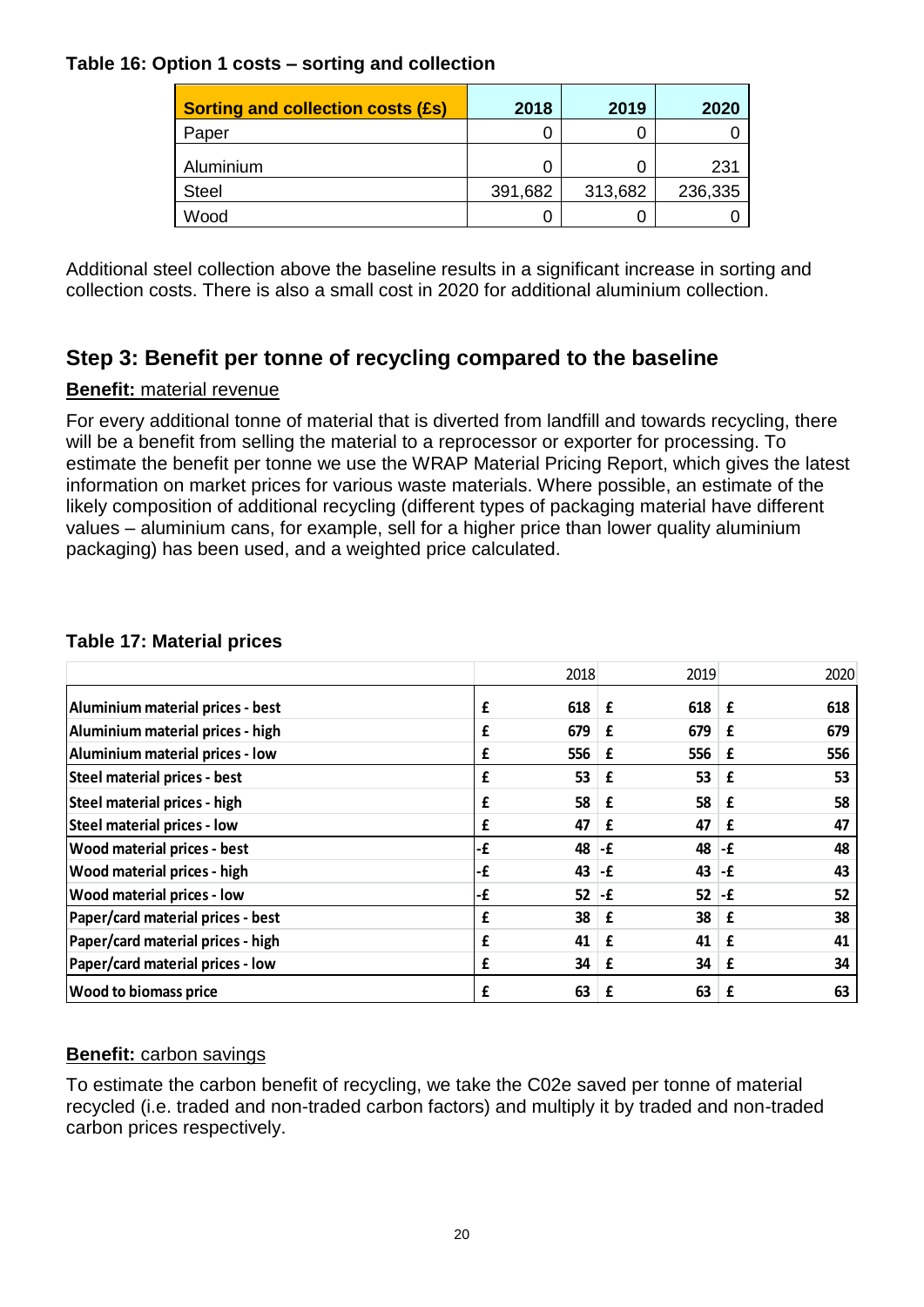### **Table 16: Option 1 costs – sorting and collection**

| <b>Sorting and collection costs (£s)</b> | 2018    | 2019    | 2020    |
|------------------------------------------|---------|---------|---------|
| Paper                                    |         |         |         |
| Aluminium                                | 0       |         | 231     |
| Steel                                    | 391,682 | 313,682 | 236,335 |
| Wood                                     | O       |         |         |

Additional steel collection above the baseline results in a significant increase in sorting and collection costs. There is also a small cost in 2020 for additional aluminium collection.

# **Step 3: Benefit per tonne of recycling compared to the baseline**

#### **Benefit:** material revenue

For every additional tonne of material that is diverted from landfill and towards recycling, there will be a benefit from selling the material to a reprocessor or exporter for processing. To estimate the benefit per tonne we use the WRAP Material Pricing Report, which gives the latest information on market prices for various waste materials. Where possible, an estimate of the likely composition of additional recycling (different types of packaging material have different values – aluminium cans, for example, sell for a higher price than lower quality aluminium packaging) has been used, and a weighted price calculated.

| <b>Table 17: Material prices</b> |  |  |
|----------------------------------|--|--|
|----------------------------------|--|--|

|                                    |    | 2018 | 2019           |     | 2020 |
|------------------------------------|----|------|----------------|-----|------|
| Aluminium material prices - best   | £  | 618  | $618$ $E$<br>£ |     | 618  |
| Aluminium material prices - high   | £  | 679  | 679<br>£       | £   | 679  |
| Aluminium material prices - low    | £  | 556  | 556<br>£       | £   | 556  |
| Steel material prices - best       | £  | 53   | 53<br>£        | £   | 53   |
| Steel material prices - high       | £  | 58   | 58<br>£        | £   | 58   |
| Steel material prices - low        | £  | 47   | 47<br>£        | £   | 47   |
| <b>Wood material prices - best</b> | -£ | 48   | 48<br>-£       | l-£ | 48   |
| <b>Wood material prices - high</b> | -£ | 43   | 43<br>-£       | ∣-£ | 43   |
| <b>Wood material prices - low</b>  | -£ | 52   | 52<br>-£       | l-£ | 52   |
| Paper/card material prices - best  | £  | 38   | 38<br>£        | £   | 38   |
| Paper/card material prices - high  | £  | 41   | 41<br>£        | £   | 41   |
| Paper/card material prices - low   | £  | 34   | 34<br>£        | £   | 34   |
| <b>Wood to biomass price</b>       | £  | 63   | 63<br>£        | £   | 63   |

#### **Benefit:** carbon savings

To estimate the carbon benefit of recycling, we take the C02e saved per tonne of material recycled (i.e. traded and non-traded carbon factors) and multiply it by traded and non-traded carbon prices respectively.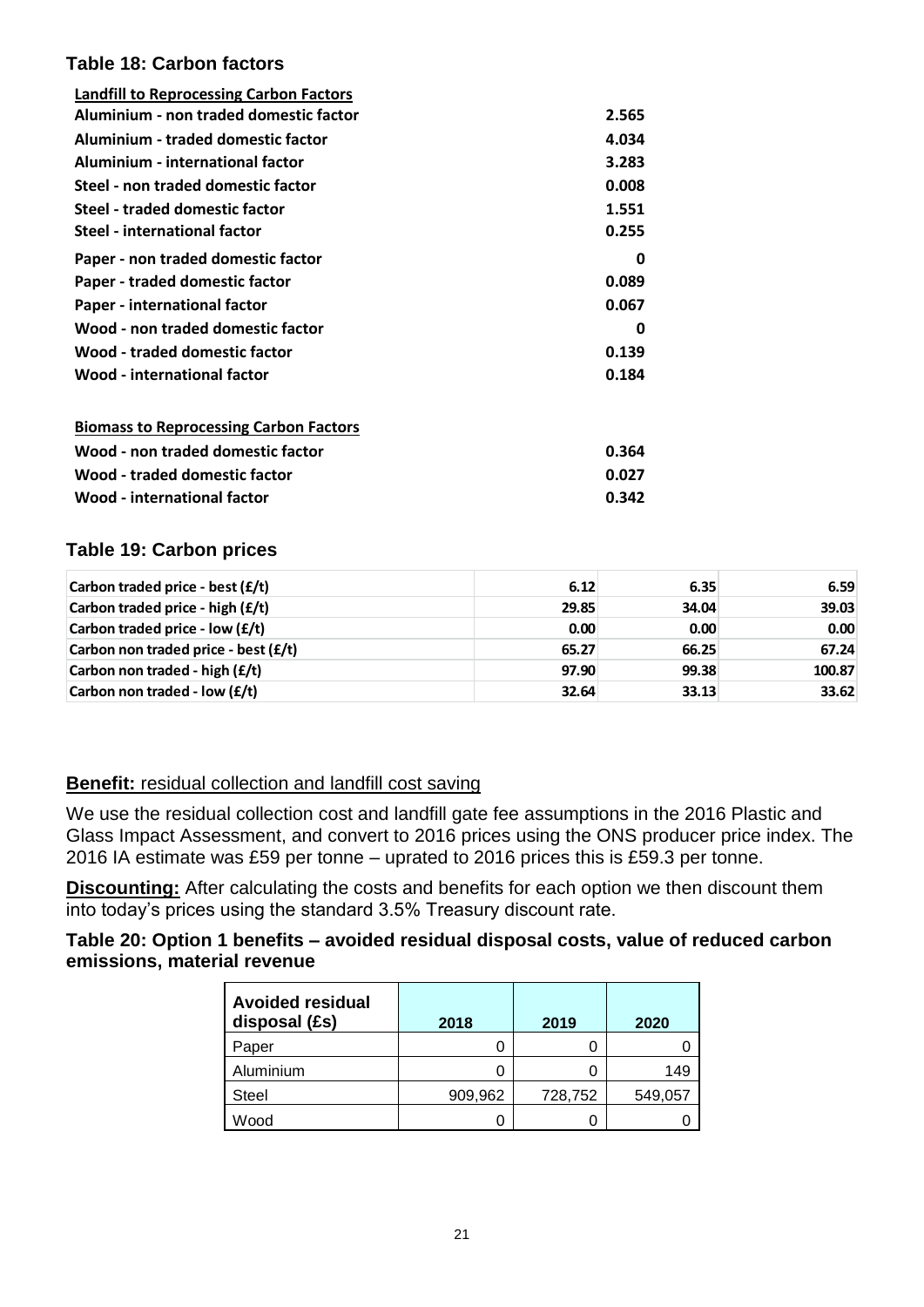#### **Table 18: Carbon factors**

| <b>Landfill to Reprocessing Carbon Factors</b> |       |
|------------------------------------------------|-------|
| Aluminium - non traded domestic factor         | 2.565 |
| Aluminium - traded domestic factor             | 4.034 |
| Aluminium - international factor               | 3.283 |
| Steel - non traded domestic factor             | 0.008 |
| Steel - traded domestic factor                 | 1.551 |
| <b>Steel - international factor</b>            | 0.255 |
| Paper - non traded domestic factor             | 0     |
| Paper - traded domestic factor                 | 0.089 |
| Paper - international factor                   | 0.067 |
| Wood - non traded domestic factor              | 0     |
| Wood - traded domestic factor                  | 0.139 |
| Wood - international factor                    | 0.184 |
| <b>Biomass to Reprocessing Carbon Factors</b>  |       |
| Wood - non traded domestic factor              | 0.364 |
| Wood - traded domestic factor                  | 0.027 |
| <b>Wood - international factor</b>             | 0.342 |

#### **Table 19: Carbon prices**

| Carbon traded price - best $(f/t)$     | 6.12  | 6.35  | 6.59   |
|----------------------------------------|-------|-------|--------|
| Carbon traded price - high (£/t)       | 29.85 | 34.04 | 39.03  |
| Carbon traded price - low $(f/t)$      | 0.00  | 0.00  | 0.00   |
| Carbon non traded price - best $(f/t)$ | 65.27 | 66.25 | 67.24  |
| Carbon non traded - high (£/t)         | 97.90 | 99.38 | 100.87 |
| Carbon non traded - low (£/t)          | 32.64 | 33.13 | 33.62  |

### **Benefit:** residual collection and landfill cost saving

We use the residual collection cost and landfill gate fee assumptions in the 2016 Plastic and Glass Impact Assessment, and convert to 2016 prices using the ONS producer price index. The 2016 IA estimate was £59 per tonne – uprated to 2016 prices this is £59.3 per tonne.

**Discounting:** After calculating the costs and benefits for each option we then discount them into today's prices using the standard 3.5% Treasury discount rate.

#### **Table 20: Option 1 benefits – avoided residual disposal costs, value of reduced carbon emissions, material revenue**

| <b>Avoided residual</b><br>disposal (£s) | 2018    | 2019    | 2020    |
|------------------------------------------|---------|---------|---------|
| Paper                                    |         |         |         |
| Aluminium                                |         |         | 149     |
| <b>Steel</b>                             | 909,962 | 728,752 | 549,057 |
| Wood                                     |         |         |         |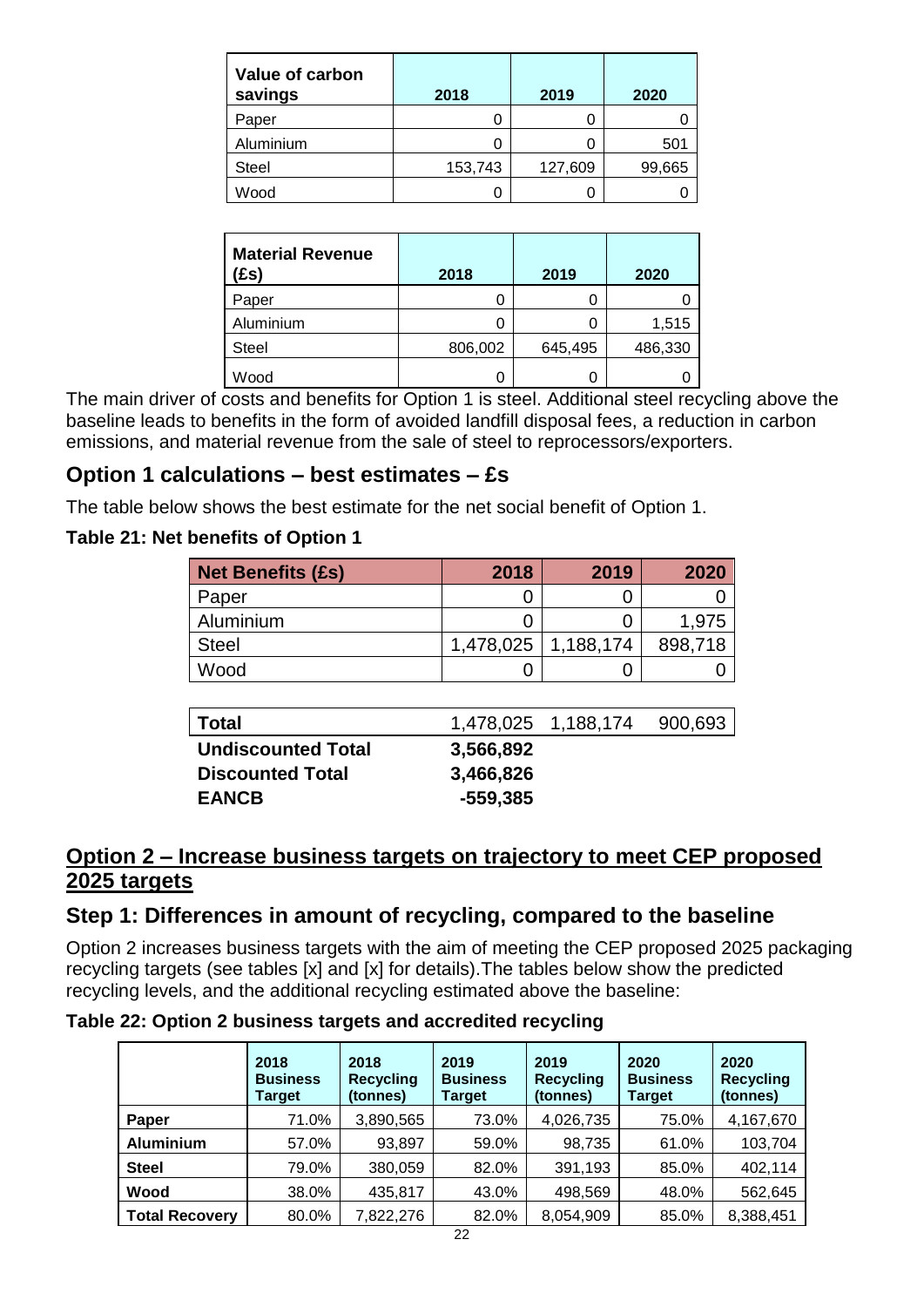| Value of carbon<br>savings | 2018    | 2019    | 2020   |
|----------------------------|---------|---------|--------|
| Paper                      |         |         |        |
| Aluminium                  |         |         | 501    |
| <b>Steel</b>               | 153,743 | 127,609 | 99,665 |
| Wood                       |         |         |        |

| <b>Material Revenue</b><br>Es) | 2018    | 2019    | 2020    |
|--------------------------------|---------|---------|---------|
| Paper                          |         | O       |         |
| Aluminium                      |         |         | 1,515   |
| <b>Steel</b>                   | 806,002 | 645,495 | 486,330 |
| Wood                           |         |         |         |

The main driver of costs and benefits for Option 1 is steel. Additional steel recycling above the baseline leads to benefits in the form of avoided landfill disposal fees, a reduction in carbon emissions, and material revenue from the sale of steel to reprocessors/exporters.

# **Option 1 calculations – best estimates – £s**

The table below shows the best estimate for the net social benefit of Option 1.

### **Table 21: Net benefits of Option 1**

| <b>Net Benefits (£s)</b> | 2018      | 2019      | 2020    |
|--------------------------|-----------|-----------|---------|
| Paper                    |           |           |         |
| Aluminium                |           |           | 1.975   |
| <b>Steel</b>             | 1,478,025 | 1,188,174 | 898,718 |
| Wood                     |           |           |         |

| Total                     |           | 1,478,025 1,188,174 | 900,693 |
|---------------------------|-----------|---------------------|---------|
| <b>Undiscounted Total</b> | 3,566,892 |                     |         |
| <b>Discounted Total</b>   | 3,466,826 |                     |         |
| <b>EANCB</b>              | -559,385  |                     |         |

# **Option 2 – Increase business targets on trajectory to meet CEP proposed 2025 targets**

# **Step 1: Differences in amount of recycling, compared to the baseline**

Option 2 increases business targets with the aim of meeting the CEP proposed 2025 packaging recycling targets (see tables [x] and [x] for details).The tables below show the predicted recycling levels, and the additional recycling estimated above the baseline:

### **Table 22: Option 2 business targets and accredited recycling**

|                       | 2018<br><b>Business</b><br>Target | 2018<br><b>Recycling</b><br>(tonnes) | 2019<br><b>Business</b><br><b>Target</b> | 2019<br><b>Recycling</b><br>(tonnes) | 2020<br><b>Business</b><br><b>Target</b> | 2020<br><b>Recycling</b><br>(tonnes) |
|-----------------------|-----------------------------------|--------------------------------------|------------------------------------------|--------------------------------------|------------------------------------------|--------------------------------------|
| Paper                 | 71.0%                             | 3,890,565                            | 73.0%                                    | 4,026,735                            | 75.0%                                    | 4,167,670                            |
| <b>Aluminium</b>      | 57.0%                             | 93,897                               | 59.0%                                    | 98,735                               | 61.0%                                    | 103,704                              |
| <b>Steel</b>          | 79.0%                             | 380,059                              | 82.0%                                    | 391,193                              | 85.0%                                    | 402,114                              |
| Wood                  | 38.0%                             | 435,817                              | 43.0%                                    | 498,569                              | 48.0%                                    | 562,645                              |
| <b>Total Recovery</b> | 80.0%                             | 7,822,276                            | 82.0%                                    | 8,054,909                            | 85.0%                                    | 8,388,451                            |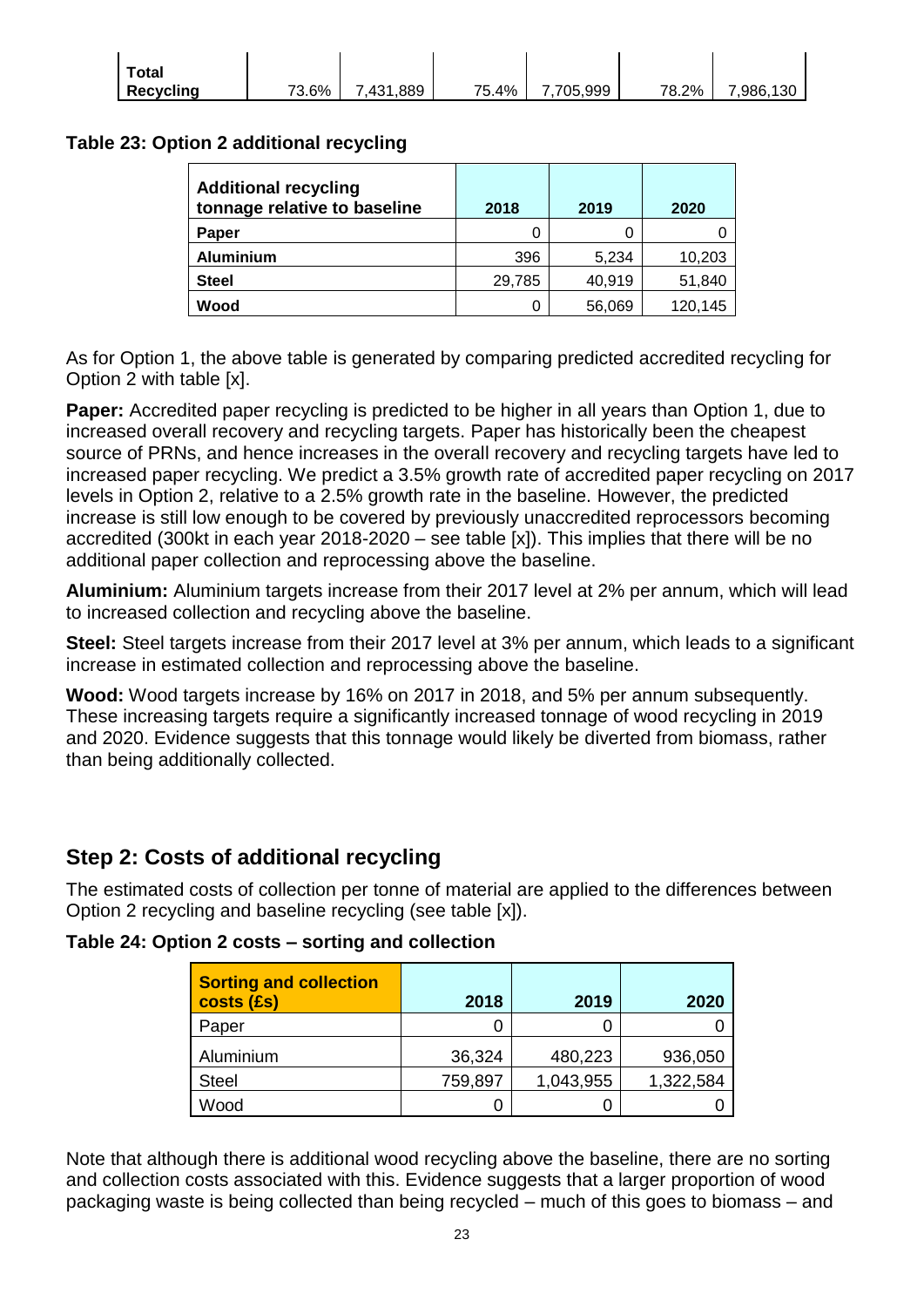| Total     |       |                |       |           |       |           |
|-----------|-------|----------------|-------|-----------|-------|-----------|
| Recycling | 73.6% | .889<br>7,431, | 75.4% | 7.705.999 | 78.2% | 7.986.130 |

### **Table 23: Option 2 additional recycling**

| <b>Additional recycling</b><br>tonnage relative to baseline | 2018   | 2019   | 2020    |
|-------------------------------------------------------------|--------|--------|---------|
| Paper                                                       |        |        |         |
| <b>Aluminium</b>                                            | 396    | 5,234  | 10,203  |
| <b>Steel</b>                                                | 29,785 | 40,919 | 51,840  |
| Wood                                                        |        | 56,069 | 120.145 |

As for Option 1, the above table is generated by comparing predicted accredited recycling for Option 2 with table [x].

**Paper:** Accredited paper recycling is predicted to be higher in all years than Option 1, due to increased overall recovery and recycling targets. Paper has historically been the cheapest source of PRNs, and hence increases in the overall recovery and recycling targets have led to increased paper recycling. We predict a 3.5% growth rate of accredited paper recycling on 2017 levels in Option 2, relative to a 2.5% growth rate in the baseline. However, the predicted increase is still low enough to be covered by previously unaccredited reprocessors becoming accredited (300kt in each year 2018-2020 – see table [x]). This implies that there will be no additional paper collection and reprocessing above the baseline.

**Aluminium:** Aluminium targets increase from their 2017 level at 2% per annum, which will lead to increased collection and recycling above the baseline.

**Steel:** Steel targets increase from their 2017 level at 3% per annum, which leads to a significant increase in estimated collection and reprocessing above the baseline.

**Wood:** Wood targets increase by 16% on 2017 in 2018, and 5% per annum subsequently. These increasing targets require a significantly increased tonnage of wood recycling in 2019 and 2020. Evidence suggests that this tonnage would likely be diverted from biomass, rather than being additionally collected.

# **Step 2: Costs of additional recycling**

The estimated costs of collection per tonne of material are applied to the differences between Option 2 recycling and baseline recycling (see table [x]).

**Table 24: Option 2 costs – sorting and collection**

| Sorting and collection<br>$\vert$ costs (£s) | 2018    | 2019      | 2020      |
|----------------------------------------------|---------|-----------|-----------|
| Paper                                        |         |           |           |
| Aluminium                                    | 36,324  | 480,223   | 936,050   |
| <b>Steel</b>                                 | 759,897 | 1,043,955 | 1,322,584 |
| Wood                                         |         |           |           |

Note that although there is additional wood recycling above the baseline, there are no sorting and collection costs associated with this. Evidence suggests that a larger proportion of wood packaging waste is being collected than being recycled – much of this goes to biomass – and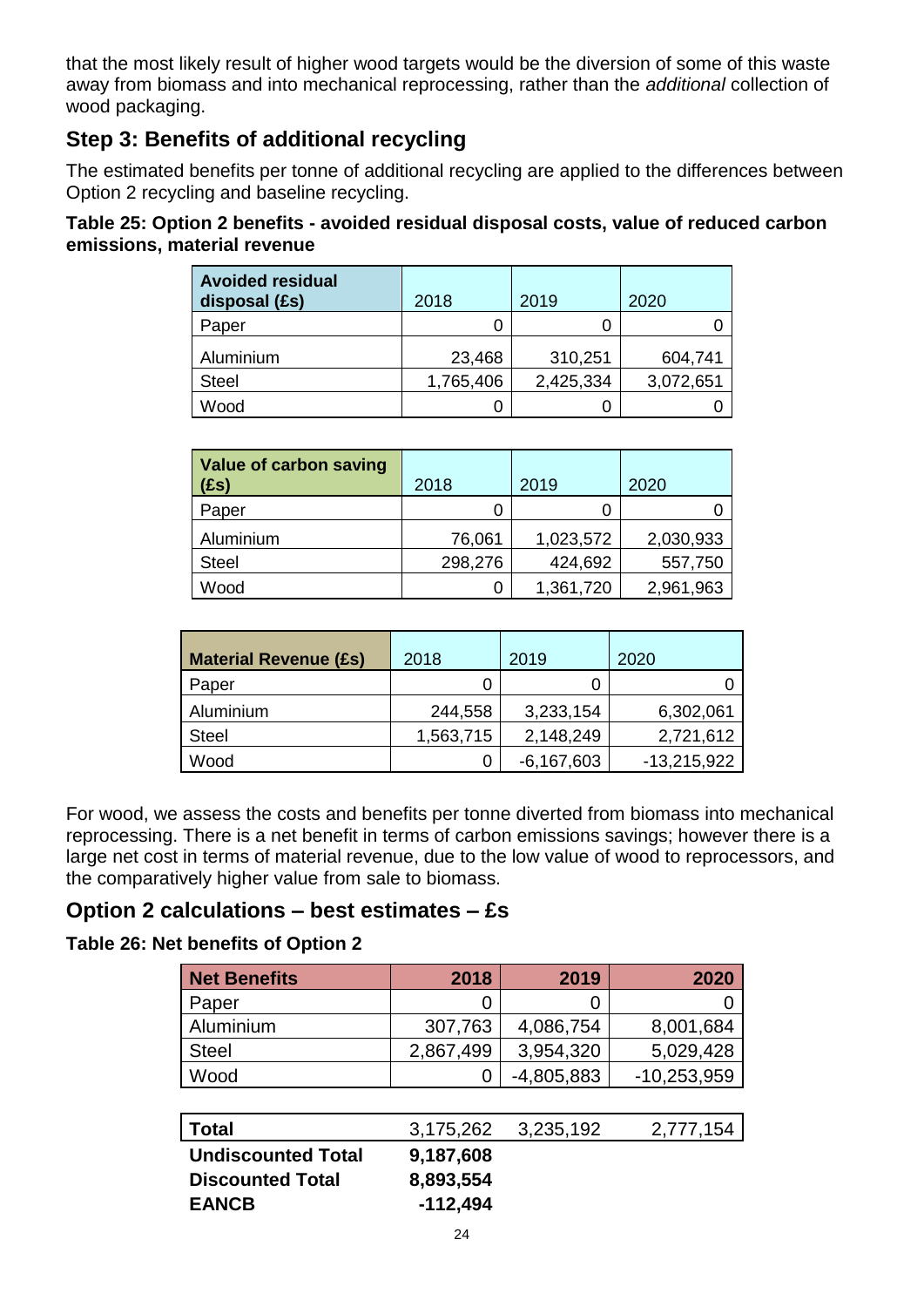that the most likely result of higher wood targets would be the diversion of some of this waste away from biomass and into mechanical reprocessing, rather than the *additional* collection of wood packaging.

# **Step 3: Benefits of additional recycling**

The estimated benefits per tonne of additional recycling are applied to the differences between Option 2 recycling and baseline recycling.

**Table 25: Option 2 benefits - avoided residual disposal costs, value of reduced carbon emissions, material revenue**

| <b>Avoided residual</b><br>disposal (£s) | 2018      | 2019      | 2020      |
|------------------------------------------|-----------|-----------|-----------|
| Paper                                    |           |           |           |
| Aluminium                                | 23,468    | 310,251   | 604,741   |
| <b>Steel</b>                             | 1,765,406 | 2,425,334 | 3,072,651 |
| Wood                                     | O         |           |           |

| Value of carbon saving<br>(£s) | 2018    | 2019      | 2020      |
|--------------------------------|---------|-----------|-----------|
| Paper                          |         |           |           |
| Aluminium                      | 76,061  | 1,023,572 | 2,030,933 |
| <b>Steel</b>                   | 298,276 | 424,692   | 557,750   |
| Wood                           | 0       | 1,361,720 | 2,961,963 |

| <b>Material Revenue (£s)</b> | 2018      | 2019         | 2020          |
|------------------------------|-----------|--------------|---------------|
| Paper                        |           |              |               |
| Aluminium                    | 244,558   | 3,233,154    | 6,302,061     |
| Steel                        | 1,563,715 | 2,148,249    | 2,721,612     |
| Wood                         | 0         | $-6,167,603$ | $-13,215,922$ |

For wood, we assess the costs and benefits per tonne diverted from biomass into mechanical reprocessing. There is a net benefit in terms of carbon emissions savings; however there is a large net cost in terms of material revenue, due to the low value of wood to reprocessors, and the comparatively higher value from sale to biomass.

# **Option 2 calculations – best estimates – £s**

### **Table 26: Net benefits of Option 2**

| <b>Net Benefits</b> | 2018      | 2019         | 2020          |
|---------------------|-----------|--------------|---------------|
| Paper               |           |              |               |
| Aluminium           | 307,763   | 4,086,754    | 8,001,684     |
| <b>Steel</b>        | 2,867,499 | 3,954,320    | 5,029,428     |
| Wood                |           | $-4,805,883$ | $-10,253,959$ |

| Total                     | 3,175,262 | 3,235,192 | 2,777,154 |
|---------------------------|-----------|-----------|-----------|
| <b>Undiscounted Total</b> | 9,187,608 |           |           |
| <b>Discounted Total</b>   | 8,893,554 |           |           |
| <b>EANCB</b>              | -112,494  |           |           |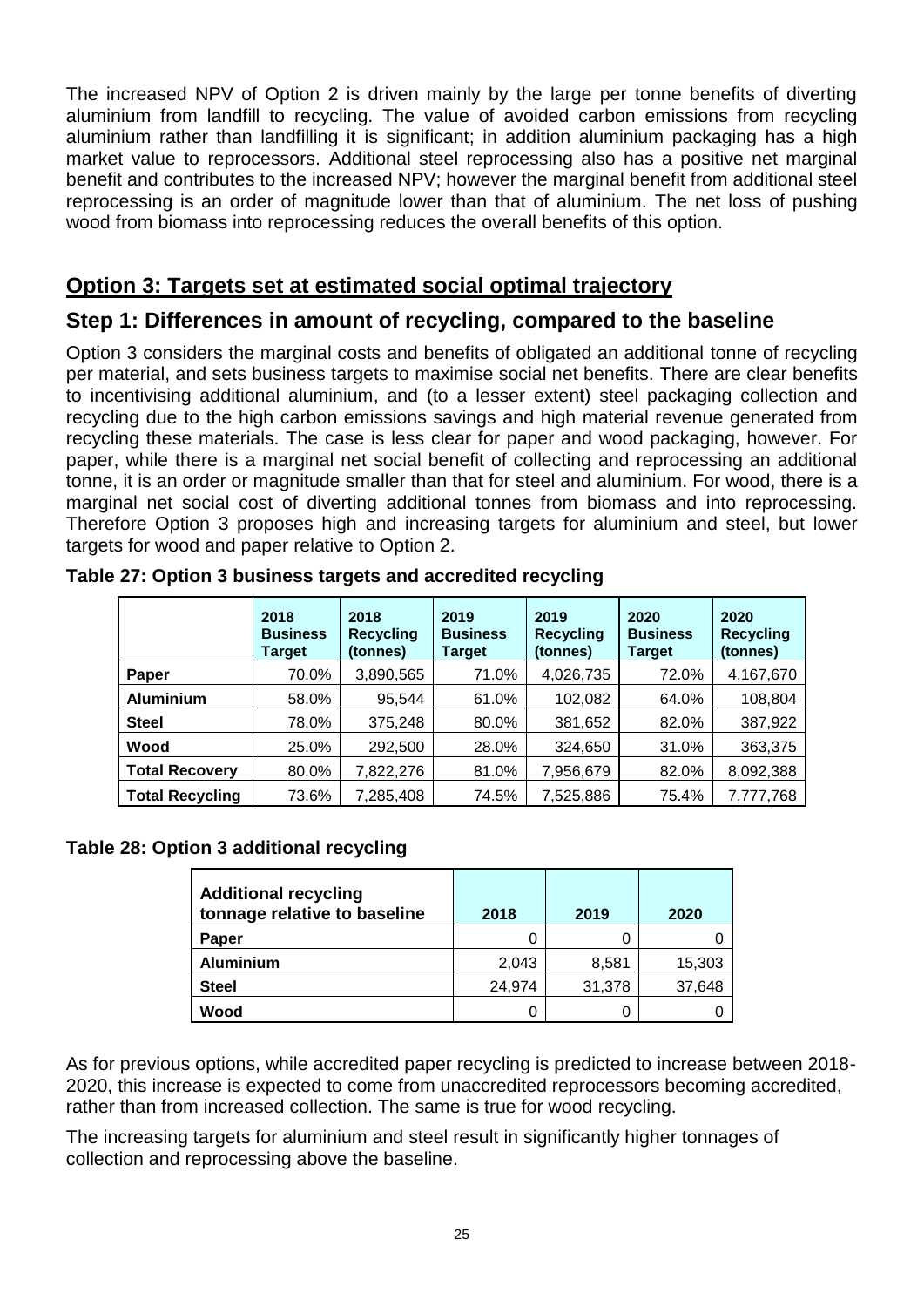The increased NPV of Option 2 is driven mainly by the large per tonne benefits of diverting aluminium from landfill to recycling. The value of avoided carbon emissions from recycling aluminium rather than landfilling it is significant; in addition aluminium packaging has a high market value to reprocessors. Additional steel reprocessing also has a positive net marginal benefit and contributes to the increased NPV; however the marginal benefit from additional steel reprocessing is an order of magnitude lower than that of aluminium. The net loss of pushing wood from biomass into reprocessing reduces the overall benefits of this option.

# **Option 3: Targets set at estimated social optimal trajectory**

# **Step 1: Differences in amount of recycling, compared to the baseline**

Option 3 considers the marginal costs and benefits of obligated an additional tonne of recycling per material, and sets business targets to maximise social net benefits. There are clear benefits to incentivising additional aluminium, and (to a lesser extent) steel packaging collection and recycling due to the high carbon emissions savings and high material revenue generated from recycling these materials. The case is less clear for paper and wood packaging, however. For paper, while there is a marginal net social benefit of collecting and reprocessing an additional tonne, it is an order or magnitude smaller than that for steel and aluminium. For wood, there is a marginal net social cost of diverting additional tonnes from biomass and into reprocessing. Therefore Option 3 proposes high and increasing targets for aluminium and steel, but lower targets for wood and paper relative to Option 2.

|                        | 2018<br><b>Business</b><br>Target | 2018<br><b>Recycling</b><br>(tonnes) | 2019<br><b>Business</b><br>Target | 2019<br><b>Recycling</b><br>(tonnes) | 2020<br><b>Business</b><br>Target | 2020<br><b>Recycling</b><br>(tonnes) |
|------------------------|-----------------------------------|--------------------------------------|-----------------------------------|--------------------------------------|-----------------------------------|--------------------------------------|
| Paper                  | 70.0%                             | 3,890,565                            | 71.0%                             | 4,026,735                            | 72.0%                             | 4,167,670                            |
| <b>Aluminium</b>       | 58.0%                             | 95,544                               | 61.0%                             | 102,082                              | 64.0%                             | 108,804                              |
| <b>Steel</b>           | 78.0%                             | 375,248                              | 80.0%                             | 381,652                              | 82.0%                             | 387,922                              |
| Wood                   | 25.0%                             | 292,500                              | 28.0%                             | 324,650                              | 31.0%                             | 363,375                              |
| <b>Total Recovery</b>  | 80.0%                             | 7,822,276                            | 81.0%                             | 7,956,679                            | 82.0%                             | 8,092,388                            |
| <b>Total Recycling</b> | 73.6%                             | 7,285,408                            | 74.5%                             | 7,525,886                            | 75.4%                             | 7,777,768                            |

**Table 27: Option 3 business targets and accredited recycling**

### **Table 28: Option 3 additional recycling**

| <b>Additional recycling</b><br>tonnage relative to baseline | 2018   | 2019   | 2020   |
|-------------------------------------------------------------|--------|--------|--------|
| Paper                                                       |        |        |        |
| <b>Aluminium</b>                                            | 2,043  | 8,581  | 15,303 |
| <b>Steel</b>                                                | 24,974 | 31,378 | 37,648 |
| Wood                                                        |        |        |        |

As for previous options, while accredited paper recycling is predicted to increase between 2018- 2020, this increase is expected to come from unaccredited reprocessors becoming accredited, rather than from increased collection. The same is true for wood recycling.

The increasing targets for aluminium and steel result in significantly higher tonnages of collection and reprocessing above the baseline.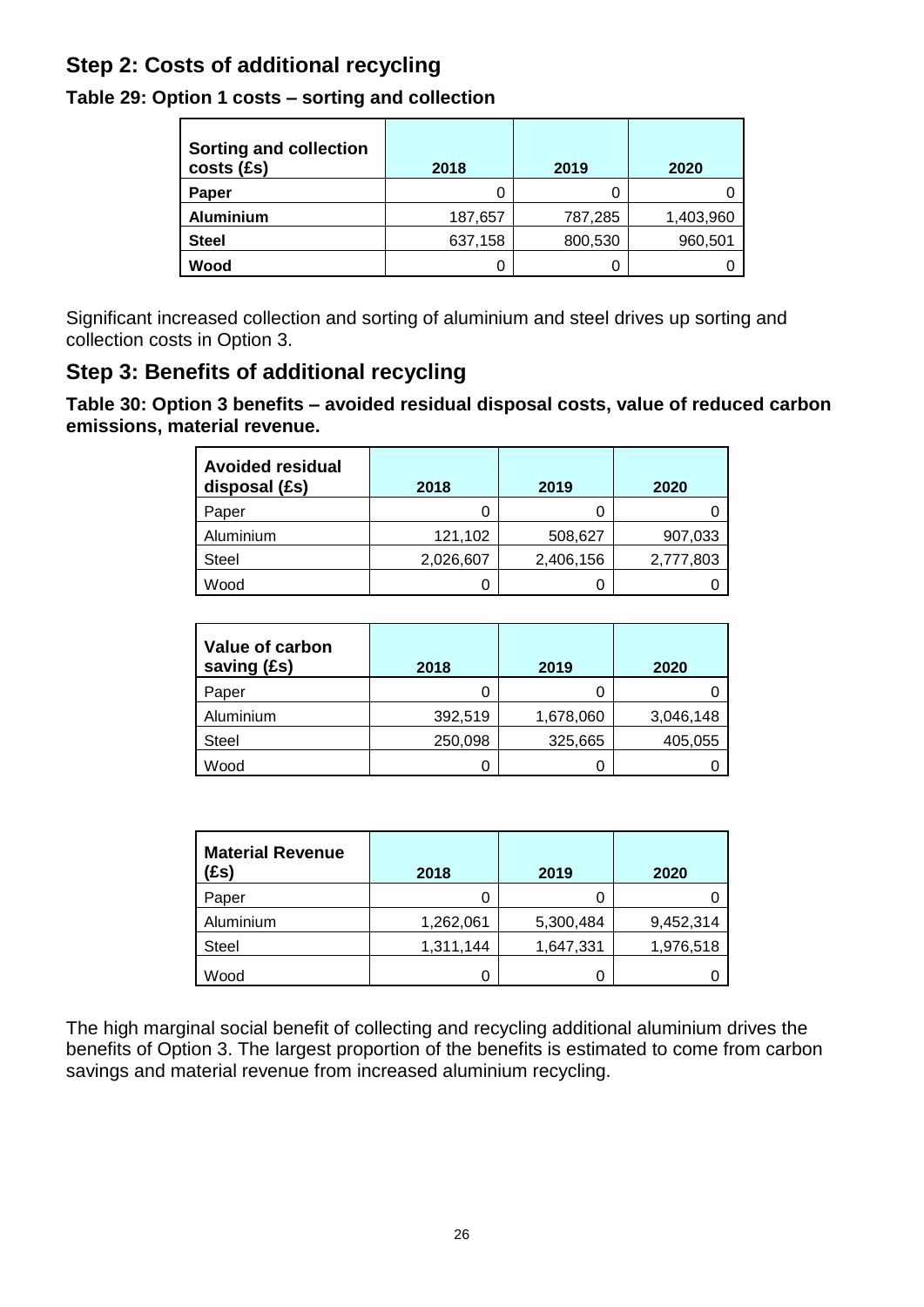# **Step 2: Costs of additional recycling**

|  | Table 29: Option 1 costs – sorting and collection |
|--|---------------------------------------------------|
|--|---------------------------------------------------|

| <b>Sorting and collection</b><br>costs (£s) | 2018    | 2019    | 2020      |
|---------------------------------------------|---------|---------|-----------|
| Paper                                       | 0       |         |           |
| <b>Aluminium</b>                            | 187,657 | 787,285 | 1,403,960 |
| <b>Steel</b>                                | 637,158 | 800,530 | 960,501   |
| Wood                                        | 0       |         |           |

Significant increased collection and sorting of aluminium and steel drives up sorting and collection costs in Option 3.

# **Step 3: Benefits of additional recycling**

**Table 30: Option 3 benefits – avoided residual disposal costs, value of reduced carbon emissions, material revenue.**

| <b>Avoided residual</b><br>disposal (£s) | 2018      | 2019      | 2020      |
|------------------------------------------|-----------|-----------|-----------|
| Paper                                    |           |           |           |
| Aluminium                                | 121,102   | 508,627   | 907,033   |
| <b>Steel</b>                             | 2,026,607 | 2,406,156 | 2,777,803 |
| Wood                                     |           |           |           |

| Value of carbon<br>saving (£s) | 2018    | 2019      | 2020      |
|--------------------------------|---------|-----------|-----------|
| Paper                          | 0       | U         |           |
| Aluminium                      | 392,519 | 1,678,060 | 3,046,148 |
| <b>Steel</b>                   | 250,098 | 325,665   | 405,055   |
| Wood                           | 0       |           |           |

| <b>Material Revenue</b><br>(£s) | 2018      | 2019      | 2020      |
|---------------------------------|-----------|-----------|-----------|
| Paper                           |           |           |           |
| Aluminium                       | 1,262,061 | 5,300,484 | 9,452,314 |
| <b>Steel</b>                    | 1,311,144 | 1,647,331 | 1,976,518 |
| Wood                            |           |           |           |

The high marginal social benefit of collecting and recycling additional aluminium drives the benefits of Option 3. The largest proportion of the benefits is estimated to come from carbon savings and material revenue from increased aluminium recycling.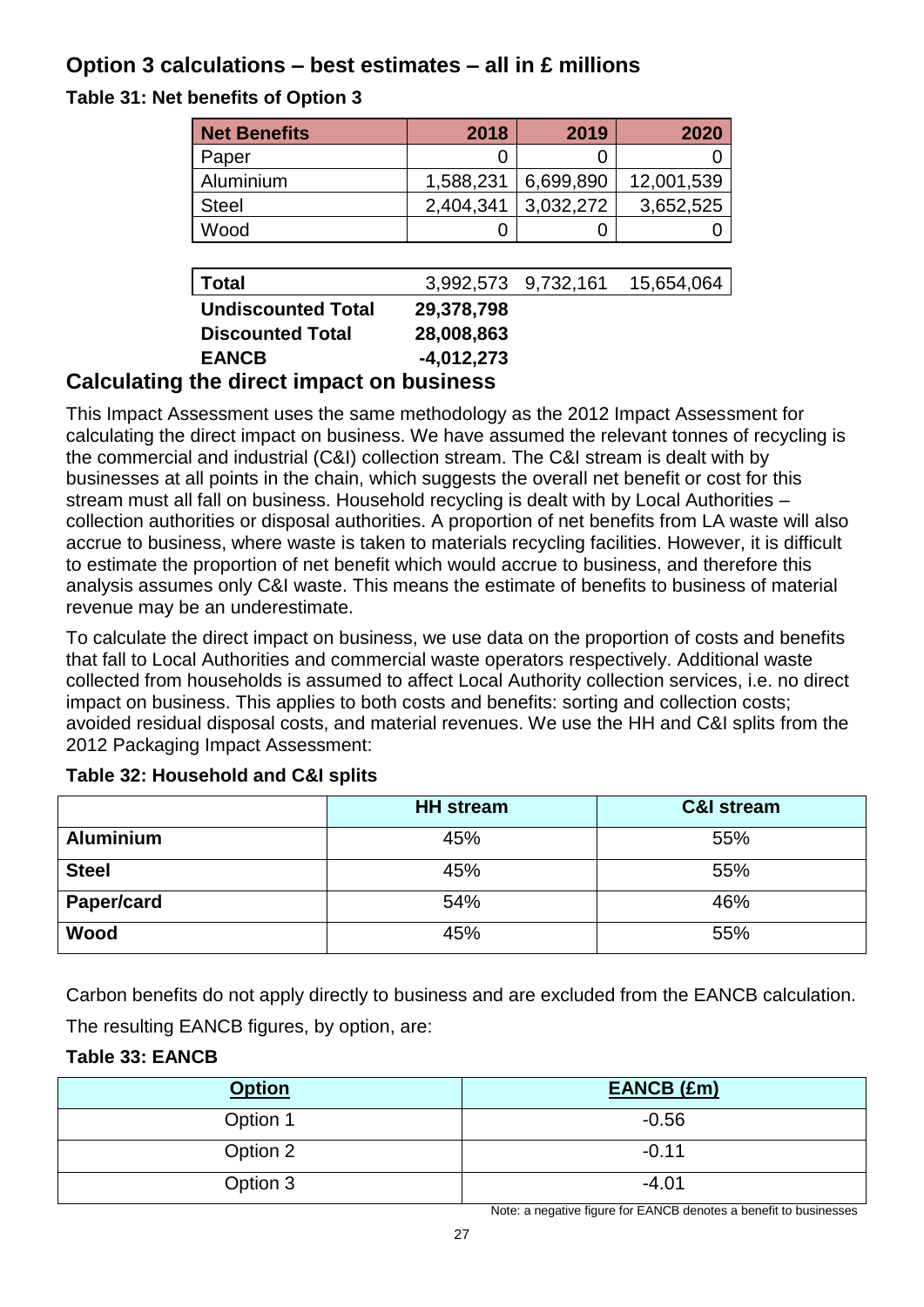# **Option 3 calculations – best estimates – all in £ millions**

**Table 31: Net benefits of Option 3**

| <b>Net Benefits</b>           | 2018         | 2019                | 2020       |
|-------------------------------|--------------|---------------------|------------|
| Paper                         |              | 0                   |            |
| Aluminium                     | 1,588,231    | 6,699,890           | 12,001,539 |
| <b>Steel</b>                  | 2,404,341    | 3,032,272           | 3,652,525  |
| Wood                          |              | O                   |            |
|                               |              |                     |            |
| <b>Total</b>                  |              | 3,992,573 9,732,161 | 15,654,064 |
| <b>Undiscounted Total</b>     | 29,378,798   |                     |            |
| <b>Discounted Total</b>       | 28,008,863   |                     |            |
| <b>EANCB</b>                  | $-4,012,273$ |                     |            |
| the direct impact on business |              |                     |            |

# **Calculating the direct impact on business**

This Impact Assessment uses the same methodology as the 2012 Impact Assessment for calculating the direct impact on business. We have assumed the relevant tonnes of recycling is the commercial and industrial (C&I) collection stream. The C&I stream is dealt with by businesses at all points in the chain, which suggests the overall net benefit or cost for this stream must all fall on business. Household recycling is dealt with by Local Authorities – collection authorities or disposal authorities. A proportion of net benefits from LA waste will also accrue to business, where waste is taken to materials recycling facilities. However, it is difficult to estimate the proportion of net benefit which would accrue to business, and therefore this analysis assumes only C&I waste. This means the estimate of benefits to business of material revenue may be an underestimate.

To calculate the direct impact on business, we use data on the proportion of costs and benefits that fall to Local Authorities and commercial waste operators respectively. Additional waste collected from households is assumed to affect Local Authority collection services, i.e. no direct impact on business. This applies to both costs and benefits: sorting and collection costs; avoided residual disposal costs, and material revenues. We use the HH and C&I splits from the 2012 Packaging Impact Assessment:

|                  | <b>HH</b> stream | <b>C&amp;I stream</b> |
|------------------|------------------|-----------------------|
| <b>Aluminium</b> | 45%              | 55%                   |
| <b>Steel</b>     | 45%              | 55%                   |
| Paper/card       | 54%              | 46%                   |
| Wood             | 45%              | 55%                   |

# **Table 32: Household and C&I splits**

Carbon benefits do not apply directly to business and are excluded from the EANCB calculation. The resulting EANCB figures, by option, are:

# **Table 33: EANCB**

| <b>Option</b> | EANCB (£m) |
|---------------|------------|
| Option 1      | $-0.56$    |
| Option 2      | $-0.11$    |
| Option 3      | $-4.01$    |

Note: a negative figure for EANCB denotes a benefit to businesses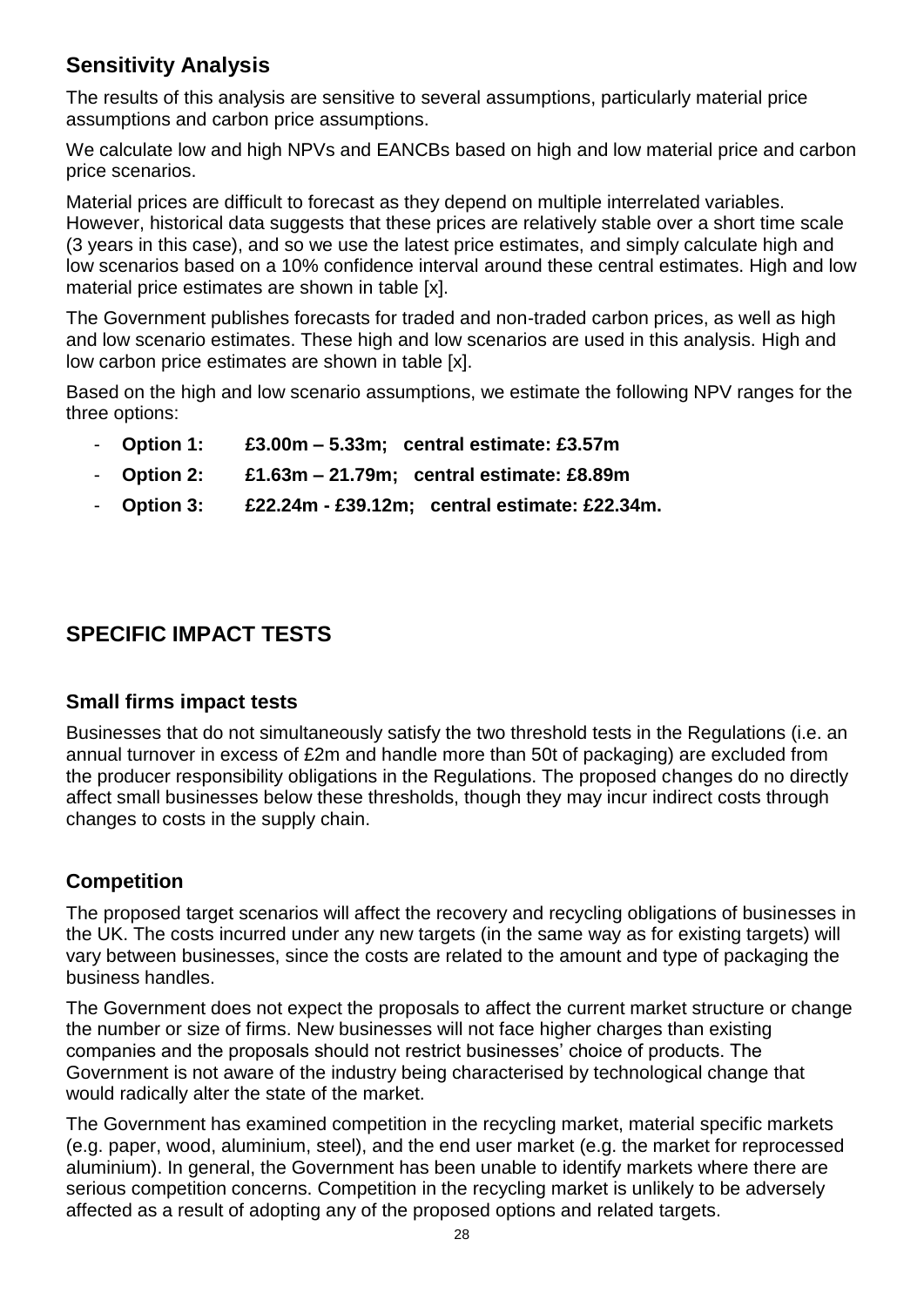# **Sensitivity Analysis**

The results of this analysis are sensitive to several assumptions, particularly material price assumptions and carbon price assumptions.

We calculate low and high NPVs and EANCBs based on high and low material price and carbon price scenarios.

Material prices are difficult to forecast as they depend on multiple interrelated variables. However, historical data suggests that these prices are relatively stable over a short time scale (3 years in this case), and so we use the latest price estimates, and simply calculate high and low scenarios based on a 10% confidence interval around these central estimates. High and low material price estimates are shown in table [x].

The Government publishes forecasts for traded and non-traded carbon prices, as well as high and low scenario estimates. These high and low scenarios are used in this analysis. High and low carbon price estimates are shown in table [x].

Based on the high and low scenario assumptions, we estimate the following NPV ranges for the three options:

- **Option 1: £3.00m – 5.33m; central estimate: £3.57m**
- **Option 2: £1.63m – 21.79m; central estimate: £8.89m**
- **Option 3: £22.24m - £39.12m; central estimate: £22.34m.**

# **SPECIFIC IMPACT TESTS**

# **Small firms impact tests**

Businesses that do not simultaneously satisfy the two threshold tests in the Regulations (i.e. an annual turnover in excess of £2m and handle more than 50t of packaging) are excluded from the producer responsibility obligations in the Regulations. The proposed changes do no directly affect small businesses below these thresholds, though they may incur indirect costs through changes to costs in the supply chain.

# **Competition**

The proposed target scenarios will affect the recovery and recycling obligations of businesses in the UK. The costs incurred under any new targets (in the same way as for existing targets) will vary between businesses, since the costs are related to the amount and type of packaging the business handles.

The Government does not expect the proposals to affect the current market structure or change the number or size of firms. New businesses will not face higher charges than existing companies and the proposals should not restrict businesses' choice of products. The Government is not aware of the industry being characterised by technological change that would radically alter the state of the market.

The Government has examined competition in the recycling market, material specific markets (e.g. paper, wood, aluminium, steel), and the end user market (e.g. the market for reprocessed aluminium). In general, the Government has been unable to identify markets where there are serious competition concerns. Competition in the recycling market is unlikely to be adversely affected as a result of adopting any of the proposed options and related targets.